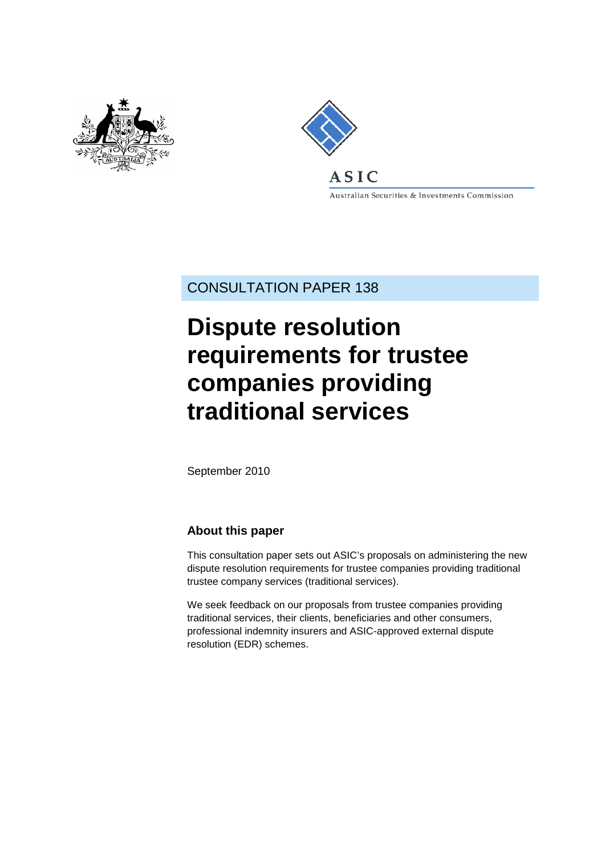



Australian Securities & Investments Commission

CONSULTATION PAPER 138

# **Dispute resolution requirements for trustee companies providing traditional services**

September 2010

## **About this paper**

This consultation paper sets out ASIC's proposals on administering the new dispute resolution requirements for trustee companies providing traditional trustee company services (traditional services).

We seek feedback on our proposals from trustee companies providing traditional services, their clients, beneficiaries and other consumers, professional indemnity insurers and ASIC-approved external dispute resolution (EDR) schemes.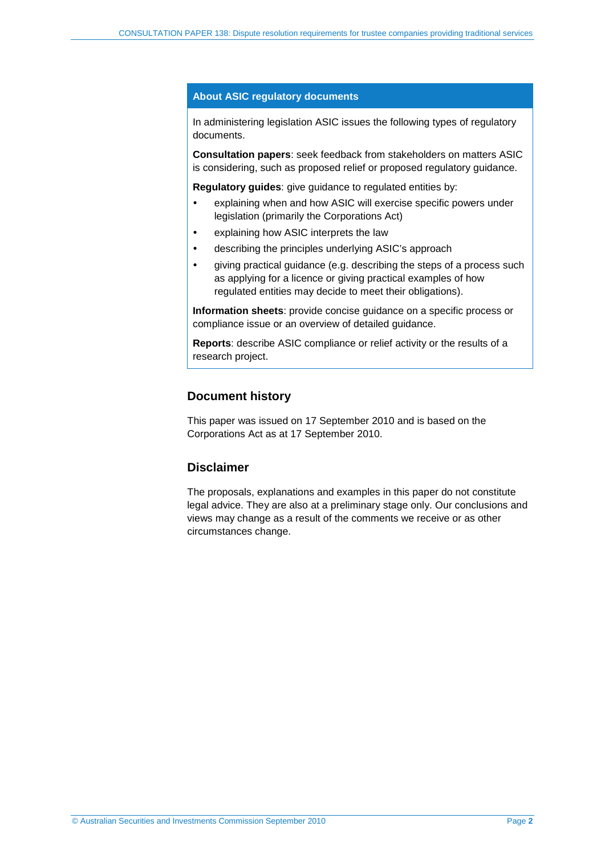#### **About ASIC regulatory documents**

In administering legislation ASIC issues the following types of regulatory documents.

**Consultation papers**: seek feedback from stakeholders on matters ASIC is considering, such as proposed relief or proposed regulatory guidance.

**Regulatory guides**: give guidance to regulated entities by:

- explaining when and how ASIC will exercise specific powers under legislation (primarily the Corporations Act)
- explaining how ASIC interprets the law
- describing the principles underlying ASIC's approach
- giving practical guidance (e.g. describing the steps of a process such as applying for a licence or giving practical examples of how regulated entities may decide to meet their obligations).

**Information sheets**: provide concise guidance on a specific process or compliance issue or an overview of detailed guidance.

**Reports**: describe ASIC compliance or relief activity or the results of a research project.

### **Document history**

This paper was issued on 17 September 2010 and is based on the Corporations Act as at 17 September 2010.

## **Disclaimer**

The proposals, explanations and examples in this paper do not constitute legal advice. They are also at a preliminary stage only. Our conclusions and views may change as a result of the comments we receive or as other circumstances change.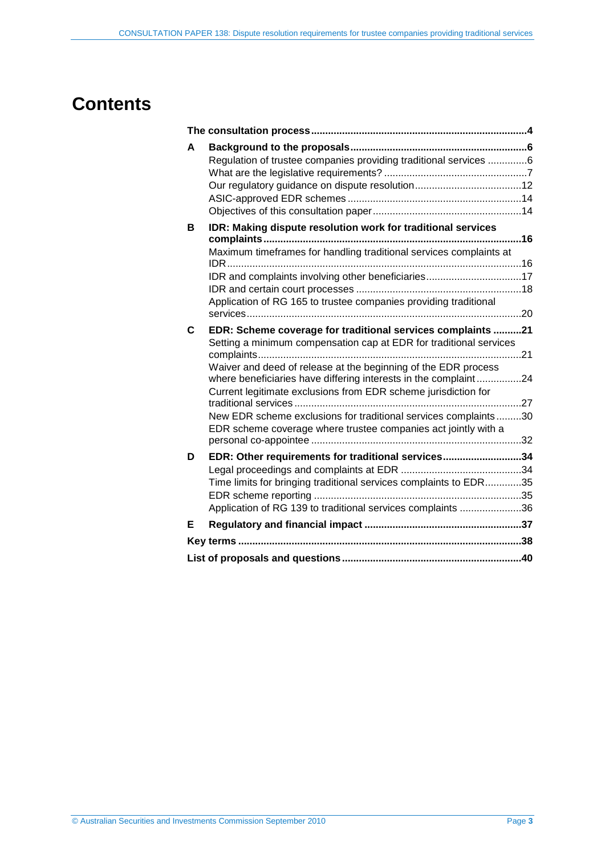# **Contents**

| A | Regulation of trustee companies providing traditional services 6                                                                                                                                    |    |
|---|-----------------------------------------------------------------------------------------------------------------------------------------------------------------------------------------------------|----|
| в | IDR: Making dispute resolution work for traditional services                                                                                                                                        | 16 |
|   | Maximum timeframes for handling traditional services complaints at                                                                                                                                  |    |
|   | IDR and complaints involving other beneficiaries17                                                                                                                                                  |    |
|   | Application of RG 165 to trustee companies providing traditional                                                                                                                                    |    |
| C | EDR: Scheme coverage for traditional services complaints 21<br>Setting a minimum compensation cap at EDR for traditional services                                                                   |    |
|   | Waiver and deed of release at the beginning of the EDR process<br>where beneficiaries have differing interests in the complaint24<br>Current legitimate exclusions from EDR scheme jurisdiction for |    |
|   | New EDR scheme exclusions for traditional services complaints30<br>EDR scheme coverage where trustee companies act jointly with a                                                                   |    |
| D | EDR: Other requirements for traditional services34                                                                                                                                                  |    |
|   | Time limits for bringing traditional services complaints to EDR35<br>Application of RG 139 to traditional services complaints 36                                                                    |    |
| Е |                                                                                                                                                                                                     |    |
|   |                                                                                                                                                                                                     |    |
|   |                                                                                                                                                                                                     |    |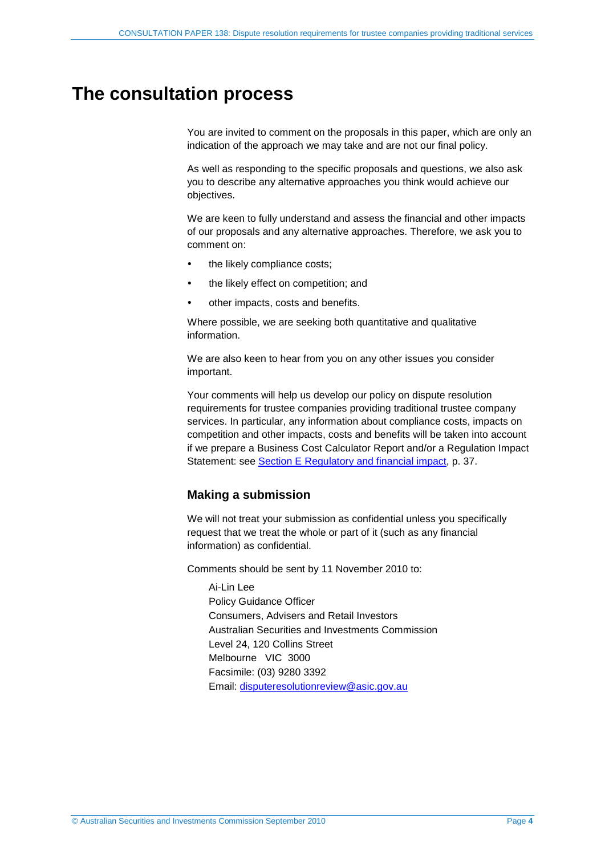## <span id="page-3-1"></span><span id="page-3-0"></span>**The consultation process**

You are invited to comment on the proposals in this paper, which are only an indication of the approach we may take and are not our final policy.

As well as responding to the specific proposals and questions, we also ask you to describe any alternative approaches you think would achieve our objectives.

We are keen to fully understand and assess the financial and other impacts of our proposals and any alternative approaches. Therefore, we ask you to comment on:

- the likely compliance costs;
- the likely effect on competition; and
- other impacts, costs and benefits.

Where possible, we are seeking both quantitative and qualitative information.

We are also keen to hear from you on any other issues you consider important.

Your comments will help us develop our policy on dispute resolution requirements for trustee companies providing traditional trustee company services. In particular, any information about compliance costs, impacts on competition and other impacts, costs and benefits will be taken into account if we prepare a Business Cost Calculator Report and/or a Regulation Impact Statement: see [Section E Regulatory and financial impact,](#page-36-0) p. [37.](#page-36-0)

## **Making a submission**

We will not treat your submission as confidential unless you specifically request that we treat the whole or part of it (such as any financial information) as confidential.

Comments should be sent by 11 November 2010 to:

Ai-Lin Lee Policy Guidance Officer Consumers, Advisers and Retail Investors Australian Securities and Investments Commission Level 24, 120 Collins Street Melbourne VIC 3000 Facsimile: (03) 9280 3392 Email: [disputeresolutionreview@asic.gov.au](mailto:disputeresolutionreview@asic.gov.au)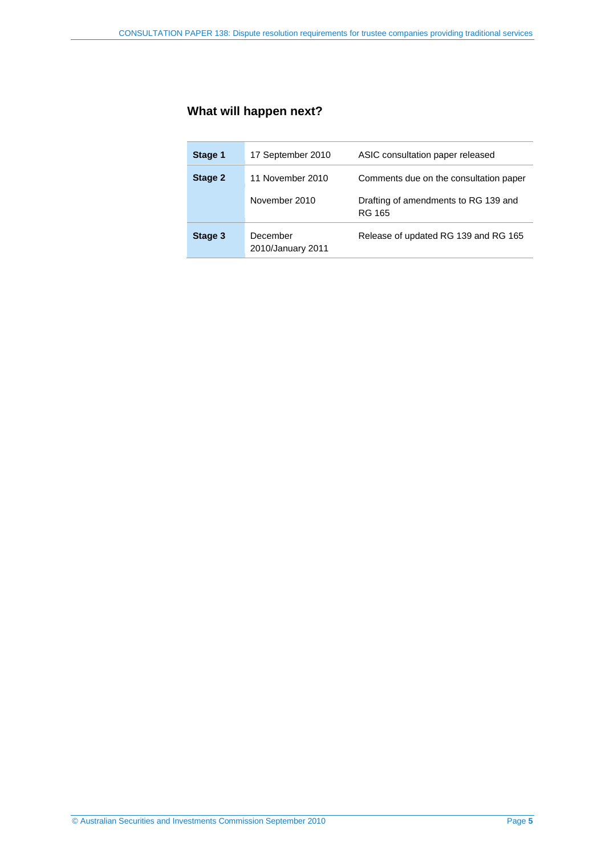## **What will happen next?**

| Stage 1 | 17 September 2010             | ASIC consultation paper released               |
|---------|-------------------------------|------------------------------------------------|
| Stage 2 | 11 November 2010              | Comments due on the consultation paper         |
|         | November 2010                 | Drafting of amendments to RG 139 and<br>RG 165 |
| Stage 3 | December<br>2010/January 2011 | Release of updated RG 139 and RG 165           |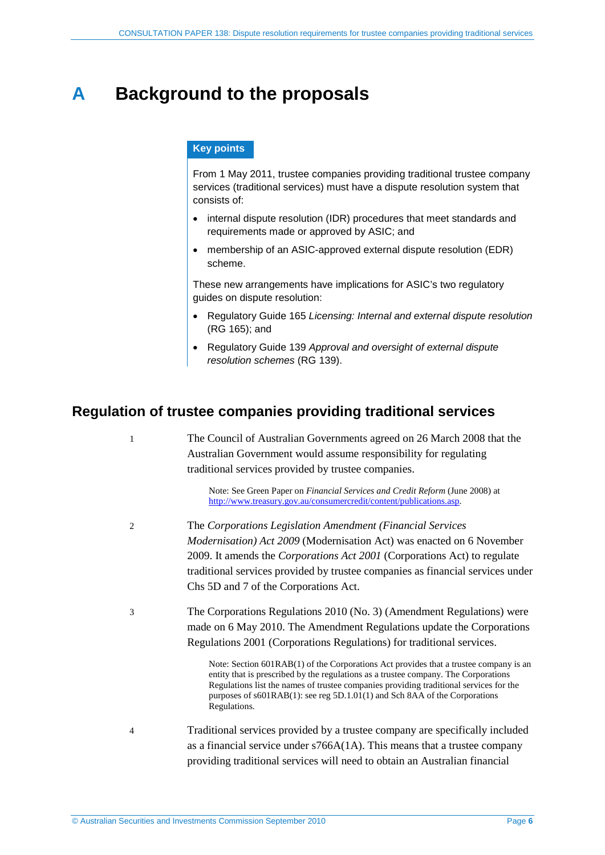# <span id="page-5-0"></span>**A Background to the proposals**

### **Key points**

From 1 May 2011, trustee companies providing traditional trustee company services (traditional services) must have a dispute resolution system that consists of:

- internal dispute resolution (IDR) procedures that meet standards and requirements made or approved by ASIC; and
- membership of an ASIC-approved external dispute resolution (EDR) scheme.

These new arrangements have implications for ASIC's two regulatory guides on dispute resolution:

- Regulatory Guide 165 *Licensing: Internal and external dispute resolution* (RG 165); and
- Regulatory Guide 139 *Approval and oversight of external dispute resolution schemes* (RG 139).

## <span id="page-5-1"></span>**Regulation of trustee companies providing traditional services**

1 The Council of Australian Governments agreed on 26 March 2008 that the Australian Government would assume responsibility for regulating traditional services provided by trustee companies. Note: See Green Paper on *Financial Services and Credit Reform* (June 2008) at [http://www.treasury.gov.au/consumercredit/content/publications.asp.](http://www.treasury.gov.au/consumercredit/content/publications.asp) 2 The *Corporations Legislation Amendment (Financial Services Modernisation) Act 2009* (Modernisation Act) was enacted on 6 November 2009. It amends the *Corporations Act 2001* (Corporations Act) to regulate traditional services provided by trustee companies as financial services under Chs 5D and 7 of the Corporations Act. 3 The Corporations Regulations 2010 (No. 3) (Amendment Regulations) were made on 6 May 2010. The Amendment Regulations update the Corporations Regulations 2001 (Corporations Regulations) for traditional services. Note: Section 601RAB(1) of the Corporations Act provides that a trustee company is an entity that is prescribed by the regulations as a trustee company. The Corporations Regulations list the names of trustee companies providing traditional services for the purposes of s601RAB(1): see reg 5D.1.01(1) and Sch 8AA of the Corporations Regulations. 4 Traditional services provided by a trustee company are specifically included as a financial service under s766A(1A). This means that a trustee company providing traditional services will need to obtain an Australian financial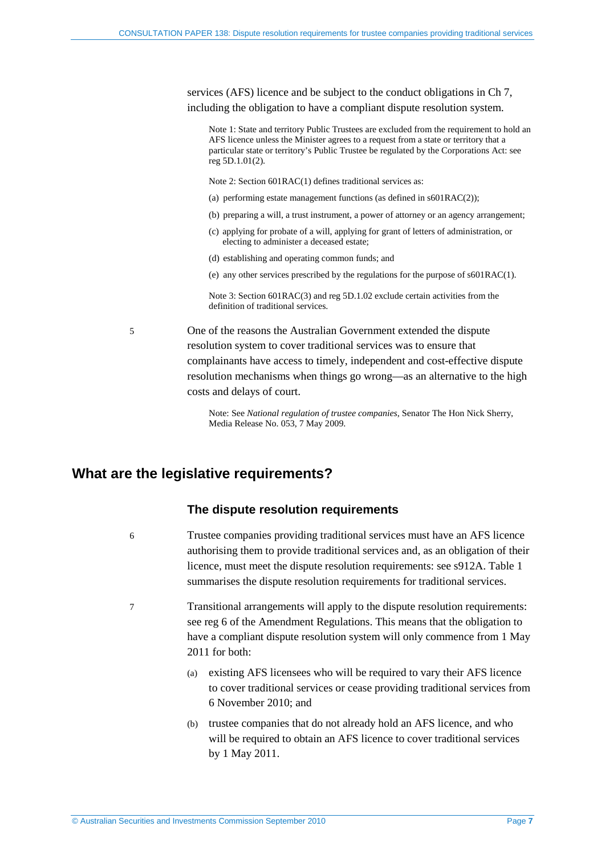services (AFS) licence and be subject to the conduct obligations in Ch 7, including the obligation to have a compliant dispute resolution system.

Note 1: State and territory Public Trustees are excluded from the requirement to hold an AFS licence unless the Minister agrees to a request from a state or territory that a particular state or territory's Public Trustee be regulated by the Corporations Act: see reg 5D.1.01(2).

Note 2: Section 601RAC(1) defines traditional services as:

- (a) performing estate management functions (as defined in s601RAC(2));
- (b) preparing a will, a trust instrument, a power of attorney or an agency arrangement;
- (c) applying for probate of a will, applying for grant of letters of administration, or electing to administer a deceased estate;
- (d) establishing and operating common funds; and
- (e) any other services prescribed by the regulations for the purpose of s601RAC(1).

Note 3: Section 601RAC(3) and reg 5D.1.02 exclude certain activities from the definition of traditional services.

5 One of the reasons the Australian Government extended the dispute resolution system to cover traditional services was to ensure that complainants have access to timely, independent and cost-effective dispute resolution mechanisms when things go wrong—as an alternative to the high costs and delays of court.

> Note: See *National regulation of trustee companies*, Senator The Hon Nick Sherry, Media Release No. 053, 7 May 2009.

## <span id="page-6-0"></span>**What are the legislative requirements?**

#### **The dispute resolution requirements**

- 6 Trustee companies providing traditional services must have an AFS licence authorising them to provide traditional services and, as an obligation of their licence, must meet the dispute resolution requirements: see s912A. [Table 1](#page-7-0) summarises the dispute resolution requirements for traditional services.
- 7 Transitional arrangements will apply to the dispute resolution requirements: see reg 6 of the Amendment Regulations. This means that the obligation to have a compliant dispute resolution system will only commence from 1 May 2011 for both:
	- (a) existing AFS licensees who will be required to vary their AFS licence to cover traditional services or cease providing traditional services from 6 November 2010; and
	- (b) trustee companies that do not already hold an AFS licence, and who will be required to obtain an AFS licence to cover traditional services by 1 May 2011.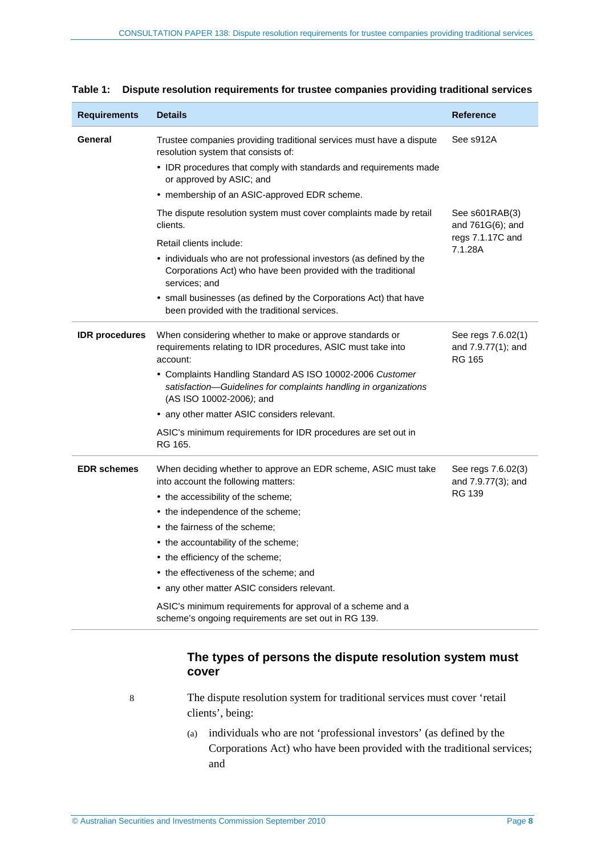| <b>Requirements</b>   | <b>Details</b>                                                                                                                                            | <b>Reference</b>                                          |
|-----------------------|-----------------------------------------------------------------------------------------------------------------------------------------------------------|-----------------------------------------------------------|
| General               | Trustee companies providing traditional services must have a dispute<br>resolution system that consists of:                                               | See s912A                                                 |
|                       | • IDR procedures that comply with standards and requirements made<br>or approved by ASIC; and                                                             |                                                           |
|                       | • membership of an ASIC-approved EDR scheme.                                                                                                              |                                                           |
|                       | The dispute resolution system must cover complaints made by retail<br>clients.                                                                            | See s601RAB(3)<br>and $761G(6)$ ; and                     |
|                       | Retail clients include:                                                                                                                                   | regs 7.1.17C and<br>7.1.28A                               |
|                       | • individuals who are not professional investors (as defined by the<br>Corporations Act) who have been provided with the traditional<br>services; and     |                                                           |
|                       | • small businesses (as defined by the Corporations Act) that have<br>been provided with the traditional services.                                         |                                                           |
| <b>IDR</b> procedures | When considering whether to make or approve standards or<br>requirements relating to IDR procedures, ASIC must take into<br>account:                      | See regs 7.6.02(1)<br>and 7.9.77(1); and<br><b>RG 165</b> |
|                       | • Complaints Handling Standard AS ISO 10002-2006 Customer<br>satisfaction-Guidelines for complaints handling in organizations<br>(AS ISO 10002-2006); and |                                                           |
|                       | • any other matter ASIC considers relevant.                                                                                                               |                                                           |
|                       | ASIC's minimum requirements for IDR procedures are set out in<br>RG 165.                                                                                  |                                                           |
| <b>EDR</b> schemes    | When deciding whether to approve an EDR scheme, ASIC must take<br>into account the following matters:                                                     | See regs 7.6.02(3)<br>and 7.9.77(3); and                  |
|                       | • the accessibility of the scheme;                                                                                                                        | <b>RG 139</b>                                             |
|                       | • the independence of the scheme;                                                                                                                         |                                                           |
|                       | • the fairness of the scheme;                                                                                                                             |                                                           |
|                       | • the accountability of the scheme;                                                                                                                       |                                                           |
|                       | • the efficiency of the scheme;                                                                                                                           |                                                           |
|                       | • the effectiveness of the scheme; and                                                                                                                    |                                                           |
|                       | • any other matter ASIC considers relevant.                                                                                                               |                                                           |
|                       | ASIC's minimum requirements for approval of a scheme and a<br>scheme's ongoing requirements are set out in RG 139.                                        |                                                           |

<span id="page-7-0"></span>

| Table 1:  Dispute resolution requirements for trustee companies providing traditional services |  |
|------------------------------------------------------------------------------------------------|--|
|------------------------------------------------------------------------------------------------|--|

## **The types of persons the dispute resolution system must cover**

8 The dispute resolution system for traditional services must cover 'retail clients', being:

> (a) individuals who are not 'professional investors' (as defined by the Corporations Act) who have been provided with the traditional services; and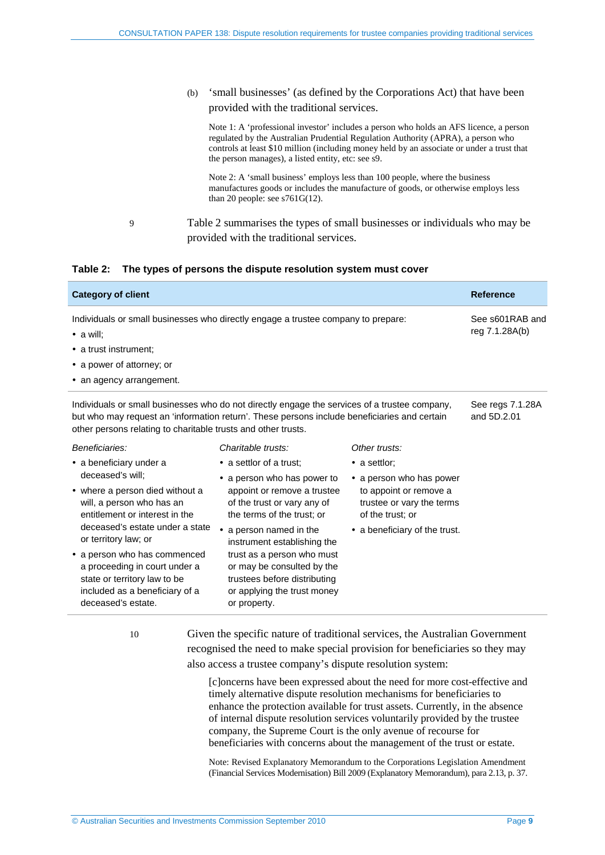(b) 'small businesses' (as defined by the Corporations Act) that have been provided with the traditional services.

Note 1: A 'professional investor' includes a person who holds an AFS licence, a person regulated by the Australian Prudential Regulation Authority (APRA), a person who controls at least \$10 million (including money held by an associate or under a trust that the person manages), a listed entity, etc: see s9.

Note 2: A 'small business' employs less than 100 people, where the business manufactures goods or includes the manufacture of goods, or otherwise employs less than 20 people: see s761G(12).

9 [Table 2](#page-8-0) summarises the types of small businesses or individuals who may be provided with the traditional services.

<span id="page-8-0"></span>

|  | Table 2: The types of persons the dispute resolution system must cover |  |  |
|--|------------------------------------------------------------------------|--|--|
|--|------------------------------------------------------------------------|--|--|

| <b>Category of client</b>                                                                                                                                                                                                                                      |                                   |               | <b>Reference</b>                |
|----------------------------------------------------------------------------------------------------------------------------------------------------------------------------------------------------------------------------------------------------------------|-----------------------------------|---------------|---------------------------------|
| Individuals or small businesses who directly engage a trustee company to prepare:<br>$\bullet$ a will:<br>• a trust instrument:                                                                                                                                | See s601RAB and<br>reg 7.1.28A(b) |               |                                 |
| • a power of attorney; or<br>• an agency arrangement.                                                                                                                                                                                                          |                                   |               |                                 |
| Individuals or small businesses who do not directly engage the services of a trustee company,<br>but who may request an 'information return'. These persons include beneficiaries and certain<br>other persons relating to charitable trusts and other trusts. |                                   |               | See regs 7.1.28A<br>and 5D.2.01 |
| Beneficiaries:                                                                                                                                                                                                                                                 | Charitable trusts:                | Other trusts: |                                 |
| • a beneficiary under a                                                                                                                                                                                                                                        | • a settlor of a trust:           | • a settlor;  |                                 |

- deceased's will;
- where a person died without a will, a person who has an entitlement or interest in the deceased's estate under a state or territory law; or
- a person who has commenced a proceeding in court under a state or territory law to be included as a beneficiary of a deceased's estate.
- a settlor of a trust;
- a person who has power to appoint or remove a trustee of the trust or vary any of the terms of the trust; or
- a person named in the instrument establishing the trust as a person who must or may be consulted by the trustees before distributing or applying the trust money or property.
- a person who has power to appoint or remove a trustee or vary the terms
- a beneficiary of the trust.

of the trust; or

10 Given the specific nature of traditional services, the Australian Government recognised the need to make special provision for beneficiaries so they may also access a trustee company's dispute resolution system:

> [c]oncerns have been expressed about the need for more cost-effective and timely alternative dispute resolution mechanisms for beneficiaries to enhance the protection available for trust assets. Currently, in the absence of internal dispute resolution services voluntarily provided by the trustee company, the Supreme Court is the only avenue of recourse for beneficiaries with concerns about the management of the trust or estate.

> Note: Revised Explanatory Memorandum to the Corporations Legislation Amendment (Financial Services Modernisation) Bill 2009 (Explanatory Memorandum), para 2.13, p. 37.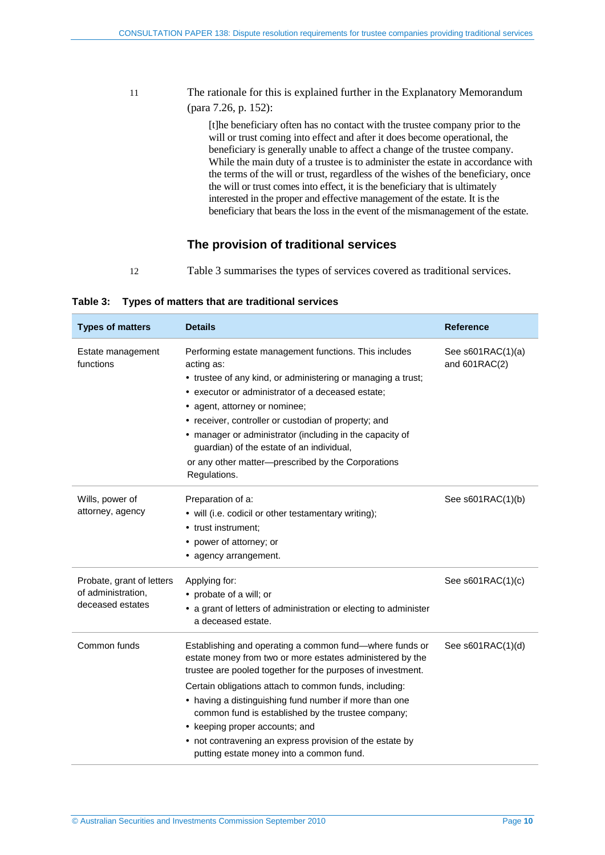11 The rationale for this is explained further in the Explanatory Memorandum (para 7.26, p. 152):

> [t]he beneficiary often has no contact with the trustee company prior to the will or trust coming into effect and after it does become operational, the beneficiary is generally unable to affect a change of the trustee company. While the main duty of a trustee is to administer the estate in accordance with the terms of the will or trust, regardless of the wishes of the beneficiary, once the will or trust comes into effect, it is the beneficiary that is ultimately interested in the proper and effective management of the estate. It is the beneficiary that bears the loss in the event of the mismanagement of the estate.

## **The provision of traditional services**

12 [Table 3](#page-9-0) summarises the types of services covered as traditional services.

<span id="page-9-0"></span>

|  | Table 3: Types of matters that are traditional services |
|--|---------------------------------------------------------|
|--|---------------------------------------------------------|

| <b>Types of matters</b>                                             | <b>Details</b>                                                                                                                                                                                                                                                                                                                                                                                                                                                                                          | <b>Reference</b>                     |
|---------------------------------------------------------------------|---------------------------------------------------------------------------------------------------------------------------------------------------------------------------------------------------------------------------------------------------------------------------------------------------------------------------------------------------------------------------------------------------------------------------------------------------------------------------------------------------------|--------------------------------------|
| Estate management<br>functions                                      | Performing estate management functions. This includes<br>acting as:<br>• trustee of any kind, or administering or managing a trust;<br>• executor or administrator of a deceased estate;<br>• agent, attorney or nominee;<br>• receiver, controller or custodian of property; and<br>• manager or administrator (including in the capacity of<br>guardian) of the estate of an individual,<br>or any other matter-prescribed by the Corporations<br>Regulations.                                        | See s601RAC(1)(a)<br>and $601RAC(2)$ |
| Wills, power of<br>attorney, agency                                 | Preparation of a:<br>• will (i.e. codicil or other testamentary writing);<br>• trust instrument:<br>• power of attorney; or<br>• agency arrangement.                                                                                                                                                                                                                                                                                                                                                    | See $s601RAC(1)(b)$                  |
| Probate, grant of letters<br>of administration.<br>deceased estates | Applying for:<br>• probate of a will; or<br>• a grant of letters of administration or electing to administer<br>a deceased estate.                                                                                                                                                                                                                                                                                                                                                                      | See s601RAC(1)(c)                    |
| Common funds                                                        | Establishing and operating a common fund—where funds or<br>estate money from two or more estates administered by the<br>trustee are pooled together for the purposes of investment.<br>Certain obligations attach to common funds, including:<br>• having a distinguishing fund number if more than one<br>common fund is established by the trustee company;<br>• keeping proper accounts; and<br>• not contravening an express provision of the estate by<br>putting estate money into a common fund. | See $s601RAC(1)(d)$                  |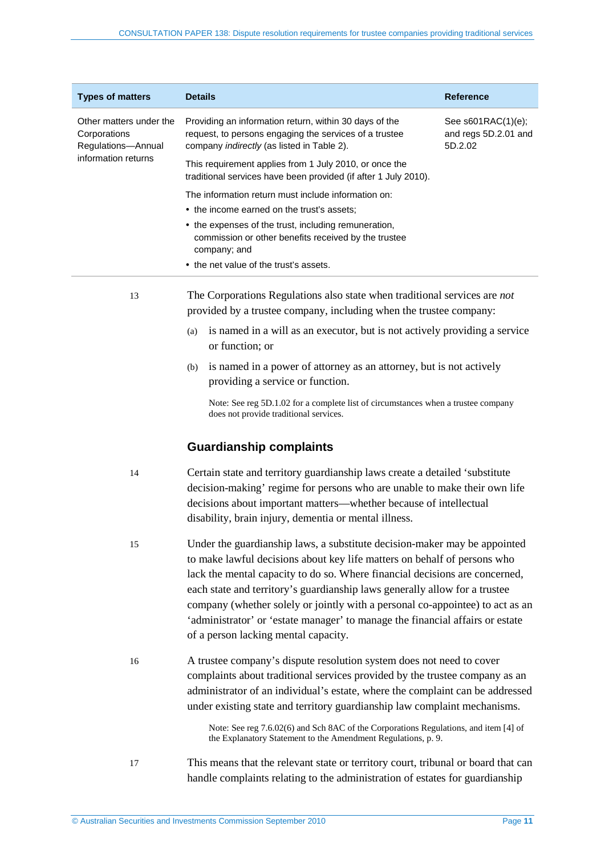| <b>Types of matters</b>                                       | <b>Details</b>                                                                                                                                                        | <b>Reference</b>                                         |
|---------------------------------------------------------------|-----------------------------------------------------------------------------------------------------------------------------------------------------------------------|----------------------------------------------------------|
| Other matters under the<br>Corporations<br>Regulations-Annual | Providing an information return, within 30 days of the<br>request, to persons engaging the services of a trustee<br>company <i>indirectly</i> (as listed in Table 2). | See $s601RAC(1)(e)$ ;<br>and regs 5D.2.01 and<br>5D.2.02 |
| information returns                                           | This requirement applies from 1 July 2010, or once the<br>traditional services have been provided (if after 1 July 2010).                                             |                                                          |
|                                                               | The information return must include information on:                                                                                                                   |                                                          |
|                                                               | • the income earned on the trust's assets:                                                                                                                            |                                                          |
|                                                               | • the expenses of the trust, including remuneration,<br>commission or other benefits received by the trustee<br>company; and                                          |                                                          |
|                                                               | • the net value of the trust's assets.                                                                                                                                |                                                          |
| 13                                                            | The Corporations Regulations also state when traditional services are <i>not</i><br>provided by a trustee company, including when the trustee company:                |                                                          |

- (a) is named in a will as an executor, but is not actively providing a service or function; or
- (b) is named in a power of attorney as an attorney, but is not actively providing a service or function.

Note: See reg 5D.1.02 for a complete list of circumstances when a trustee company does not provide traditional services.

## **Guardianship complaints**

- 14 Certain state and territory guardianship laws create a detailed 'substitute decision-making' regime for persons who are unable to make their own life decisions about important matters—whether because of intellectual disability, brain injury, dementia or mental illness.
- 15 Under the guardianship laws, a substitute decision-maker may be appointed to make lawful decisions about key life matters on behalf of persons who lack the mental capacity to do so. Where financial decisions are concerned, each state and territory's guardianship laws generally allow for a trustee company (whether solely or jointly with a personal co-appointee) to act as an 'administrator' or 'estate manager' to manage the financial affairs or estate of a person lacking mental capacity.
- 16 A trustee company's dispute resolution system does not need to cover complaints about traditional services provided by the trustee company as an administrator of an individual's estate, where the complaint can be addressed under existing state and territory guardianship law complaint mechanisms.

Note: See reg 7.6.02(6) and Sch 8AC of the Corporations Regulations, and item [4] of the Explanatory Statement to the Amendment Regulations, p. 9.

17 This means that the relevant state or territory court, tribunal or board that can handle complaints relating to the administration of estates for guardianship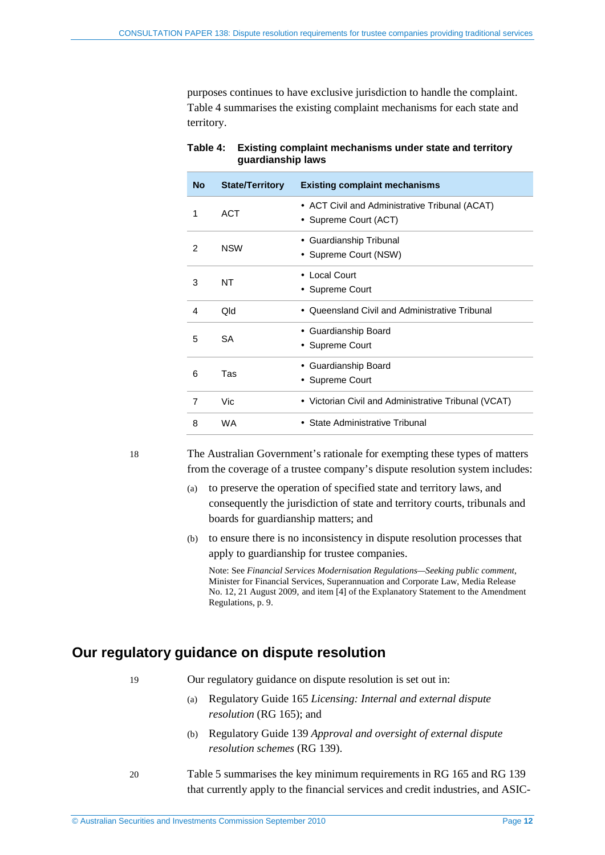purposes continues to have exclusive jurisdiction to handle the complaint. [Table 4](#page-11-1) summarises the existing complaint mechanisms for each state and territory.

| <b>No</b> | <b>State/Territory</b> | <b>Existing complaint mechanisms</b>                                    |
|-----------|------------------------|-------------------------------------------------------------------------|
| 1         | <b>ACT</b>             | • ACT Civil and Administrative Tribunal (ACAT)<br>• Supreme Court (ACT) |
| 2         | <b>NSW</b>             | • Guardianship Tribunal<br>• Supreme Court (NSW)                        |
| 3         | NT                     | • Local Court<br>• Supreme Court                                        |
| 4         | Qld                    | • Queensland Civil and Administrative Tribunal                          |
| 5         | SA                     | • Guardianship Board<br>• Supreme Court                                 |
| 6         | Tas                    | • Guardianship Board<br>• Supreme Court                                 |
| 7         | Vic                    | • Victorian Civil and Administrative Tribunal (VCAT)                    |
| 8         | <b>WA</b>              | • State Administrative Tribunal                                         |

<span id="page-11-1"></span>

| Table 4: Existing complaint mechanisms under state and territory |
|------------------------------------------------------------------|
| guardianship laws                                                |

18 The Australian Government's rationale for exempting these types of matters from the coverage of a trustee company's dispute resolution system includes:

- (a) to preserve the operation of specified state and territory laws, and consequently the jurisdiction of state and territory courts, tribunals and boards for guardianship matters; and
- (b) to ensure there is no inconsistency in dispute resolution processes that apply to guardianship for trustee companies.

Note: See *Financial Services Modernisation Regulations—Seeking public comment*, Minister for Financial Services, Superannuation and Corporate Law, Media Release No. 12, 21 August 2009, and item [4] of the Explanatory Statement to the Amendment Regulations, p. 9.

## <span id="page-11-0"></span>**Our regulatory guidance on dispute resolution**

- 19 Our regulatory guidance on dispute resolution is set out in:
	- (a) Regulatory Guide 165 *Licensing: Internal and external dispute resolution* (RG 165); and
	- (b) Regulatory Guide 139 *Approval and oversight of external dispute resolution schemes* (RG 139).

20 [Table 5](#page-12-0) summarises the key minimum requirements in RG 165 and RG 139 that currently apply to the financial services and credit industries, and ASIC-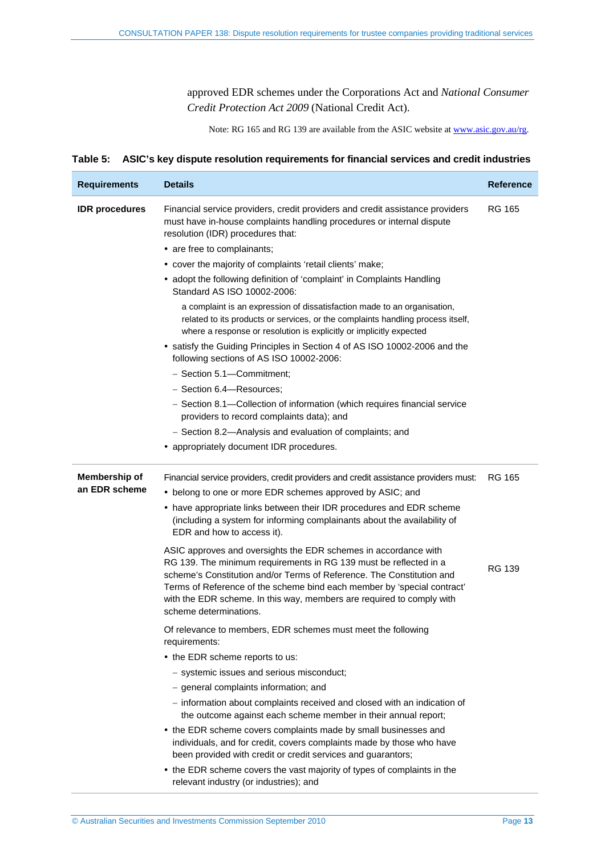approved EDR schemes under the Corporations Act and *National Consumer Credit Protection Act 2009* (National Credit Act).

Note: RG 165 and RG 139 are available from the ASIC website at [www.asic.gov.au/rg.](http://www.asic.gov.au/rg) 

#### <span id="page-12-0"></span>**Table 5: ASIC's key dispute resolution requirements for financial services and credit industries**

| <b>Requirements</b>            | <b>Details</b>                                                                                                                                                                                                                                                                                                                                                                              | <b>Reference</b> |
|--------------------------------|---------------------------------------------------------------------------------------------------------------------------------------------------------------------------------------------------------------------------------------------------------------------------------------------------------------------------------------------------------------------------------------------|------------------|
| <b>IDR</b> procedures          | Financial service providers, credit providers and credit assistance providers<br>must have in-house complaints handling procedures or internal dispute<br>resolution (IDR) procedures that:<br>• are free to complainants;                                                                                                                                                                  | <b>RG 165</b>    |
|                                | • cover the majority of complaints 'retail clients' make;                                                                                                                                                                                                                                                                                                                                   |                  |
|                                | • adopt the following definition of 'complaint' in Complaints Handling<br>Standard AS ISO 10002-2006:                                                                                                                                                                                                                                                                                       |                  |
|                                | a complaint is an expression of dissatisfaction made to an organisation,<br>related to its products or services, or the complaints handling process itself,<br>where a response or resolution is explicitly or implicitly expected                                                                                                                                                          |                  |
|                                | • satisfy the Guiding Principles in Section 4 of AS ISO 10002-2006 and the<br>following sections of AS ISO 10002-2006:                                                                                                                                                                                                                                                                      |                  |
|                                | - Section 5.1-Commitment;                                                                                                                                                                                                                                                                                                                                                                   |                  |
|                                | - Section 6.4-Resources;                                                                                                                                                                                                                                                                                                                                                                    |                  |
|                                | - Section 8.1-Collection of information (which requires financial service<br>providers to record complaints data); and                                                                                                                                                                                                                                                                      |                  |
|                                | - Section 8.2-Analysis and evaluation of complaints; and                                                                                                                                                                                                                                                                                                                                    |                  |
|                                | • appropriately document IDR procedures.                                                                                                                                                                                                                                                                                                                                                    |                  |
| Membership of<br>an EDR scheme | Financial service providers, credit providers and credit assistance providers must:<br>• belong to one or more EDR schemes approved by ASIC; and<br>• have appropriate links between their IDR procedures and EDR scheme<br>(including a system for informing complainants about the availability of<br>EDR and how to access it).                                                          | <b>RG 165</b>    |
|                                | ASIC approves and oversights the EDR schemes in accordance with<br>RG 139. The minimum requirements in RG 139 must be reflected in a<br>scheme's Constitution and/or Terms of Reference. The Constitution and<br>Terms of Reference of the scheme bind each member by 'special contract'<br>with the EDR scheme. In this way, members are required to comply with<br>scheme determinations. | <b>RG 139</b>    |
|                                | Of relevance to members, EDR schemes must meet the following<br>requirements:                                                                                                                                                                                                                                                                                                               |                  |
|                                | • the EDR scheme reports to us:                                                                                                                                                                                                                                                                                                                                                             |                  |
|                                | - systemic issues and serious misconduct;                                                                                                                                                                                                                                                                                                                                                   |                  |
|                                | - general complaints information; and                                                                                                                                                                                                                                                                                                                                                       |                  |
|                                | - information about complaints received and closed with an indication of<br>the outcome against each scheme member in their annual report;                                                                                                                                                                                                                                                  |                  |
|                                | • the EDR scheme covers complaints made by small businesses and<br>individuals, and for credit, covers complaints made by those who have<br>been provided with credit or credit services and guarantors;                                                                                                                                                                                    |                  |
|                                | • the EDR scheme covers the vast majority of types of complaints in the<br>relevant industry (or industries); and                                                                                                                                                                                                                                                                           |                  |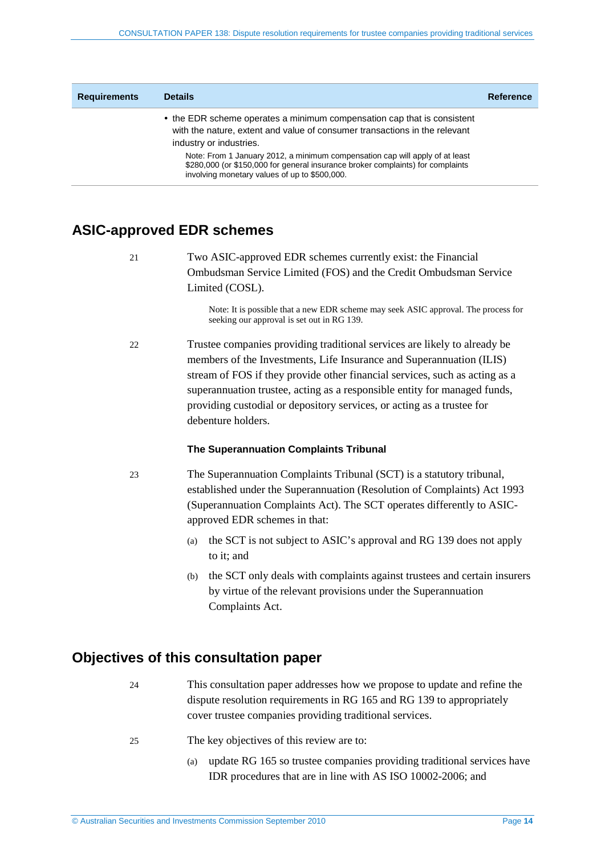| <b>Requirements</b> | <b>Details</b>                                                                                                                                                                                                   | <b>Reference</b> |
|---------------------|------------------------------------------------------------------------------------------------------------------------------------------------------------------------------------------------------------------|------------------|
|                     | • the EDR scheme operates a minimum compensation cap that is consistent<br>with the nature, extent and value of consumer transactions in the relevant<br>industry or industries.                                 |                  |
|                     | Note: From 1 January 2012, a minimum compensation cap will apply of at least<br>\$280,000 (or \$150,000 for general insurance broker complaints) for complaints<br>involving monetary values of up to \$500,000. |                  |

## <span id="page-13-0"></span>**ASIC-approved EDR schemes**

21 Two ASIC-approved EDR schemes currently exist: the Financial Ombudsman Service Limited (FOS) and the Credit Ombudsman Service Limited (COSL).

> Note: It is possible that a new EDR scheme may seek ASIC approval. The process for seeking our approval is set out in RG 139.

22 Trustee companies providing traditional services are likely to already be members of the Investments, Life Insurance and Superannuation (ILIS) stream of FOS if they provide other financial services, such as acting as a superannuation trustee, acting as a responsible entity for managed funds, providing custodial or depository services, or acting as a trustee for debenture holders.

#### **The Superannuation Complaints Tribunal**

- 23 The Superannuation Complaints Tribunal (SCT) is a statutory tribunal, established under the Superannuation (Resolution of Complaints) Act 1993 (Superannuation Complaints Act). The SCT operates differently to ASICapproved EDR schemes in that:
	- (a) the SCT is not subject to ASIC's approval and RG 139 does not apply to it; and
	- (b) the SCT only deals with complaints against trustees and certain insurers by virtue of the relevant provisions under the Superannuation Complaints Act.

## <span id="page-13-1"></span>**Objectives of this consultation paper**

- 24 This consultation paper addresses how we propose to update and refine the dispute resolution requirements in RG 165 and RG 139 to appropriately cover trustee companies providing traditional services.
- 25 The key objectives of this review are to:
	- (a) update RG 165 so trustee companies providing traditional services have IDR procedures that are in line with AS ISO 10002-2006; and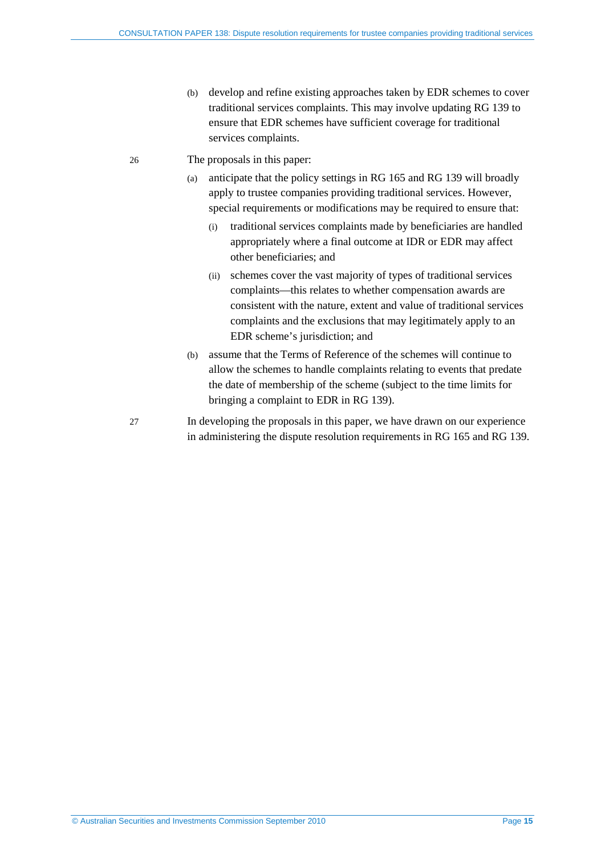- (b) develop and refine existing approaches taken by EDR schemes to cover traditional services complaints. This may involve updating RG 139 to ensure that EDR schemes have sufficient coverage for traditional services complaints.
- 26 The proposals in this paper:
	- (a) anticipate that the policy settings in RG 165 and RG 139 will broadly apply to trustee companies providing traditional services. However, special requirements or modifications may be required to ensure that:
		- (i) traditional services complaints made by beneficiaries are handled appropriately where a final outcome at IDR or EDR may affect other beneficiaries; and
		- (ii) schemes cover the vast majority of types of traditional services complaints—this relates to whether compensation awards are consistent with the nature, extent and value of traditional services complaints and the exclusions that may legitimately apply to an EDR scheme's jurisdiction; and
	- (b) assume that the Terms of Reference of the schemes will continue to allow the schemes to handle complaints relating to events that predate the date of membership of the scheme (subject to the time limits for bringing a complaint to EDR in RG 139).
- 27 In developing the proposals in this paper, we have drawn on our experience in administering the dispute resolution requirements in RG 165 and RG 139.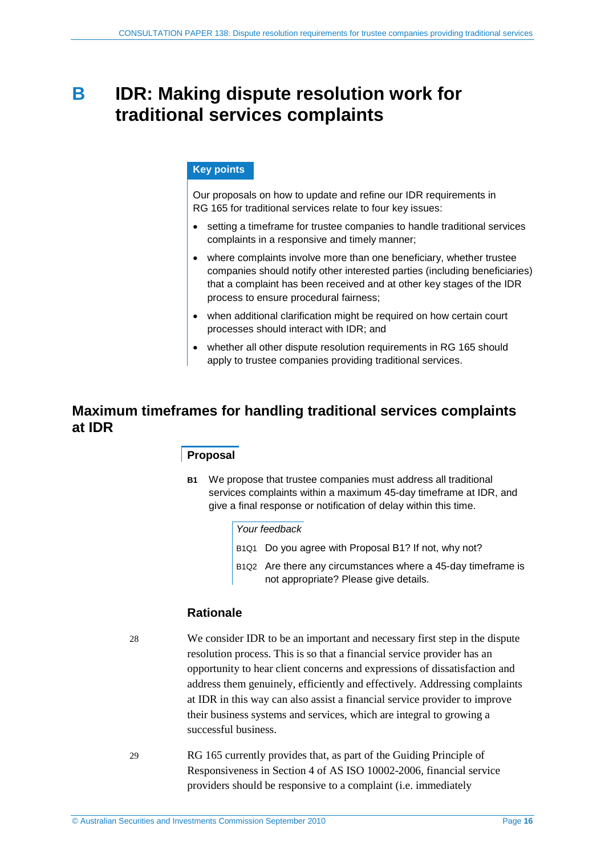# <span id="page-15-0"></span>**B IDR: Making dispute resolution work for traditional services complaints**

### **Key points**

Our proposals on how to update and refine our IDR requirements in RG 165 for traditional services relate to four key issues:

- setting a timeframe for trustee companies to handle traditional services complaints in a responsive and timely manner;
- where complaints involve more than one beneficiary, whether trustee companies should notify other interested parties (including beneficiaries) that a complaint has been received and at other key stages of the IDR process to ensure procedural fairness;
- when additional clarification might be required on how certain court processes should interact with IDR; and
- whether all other dispute resolution requirements in RG 165 should apply to trustee companies providing traditional services.

## <span id="page-15-2"></span><span id="page-15-1"></span>**Maximum timeframes for handling traditional services complaints at IDR**

## **Proposal**

**B1** We propose that trustee companies must address all traditional services complaints within a maximum 45-day timeframe at IDR, and give a final response or notification of delay within this time.

#### *Your feedback*

- B1Q1 Do you agree with Proposal [B1?](#page-15-2) If not, why not?
- B1Q2 Are there any circumstances where a 45-day timeframe is not appropriate? Please give details.

## **Rationale**

28 We consider IDR to be an important and necessary first step in the dispute resolution process. This is so that a financial service provider has an opportunity to hear client concerns and expressions of dissatisfaction and address them genuinely, efficiently and effectively. Addressing complaints at IDR in this way can also assist a financial service provider to improve their business systems and services, which are integral to growing a successful business.

29 RG 165 currently provides that, as part of the Guiding Principle of Responsiveness in Section 4 of AS ISO 10002-2006, financial service providers should be responsive to a complaint (i.e. immediately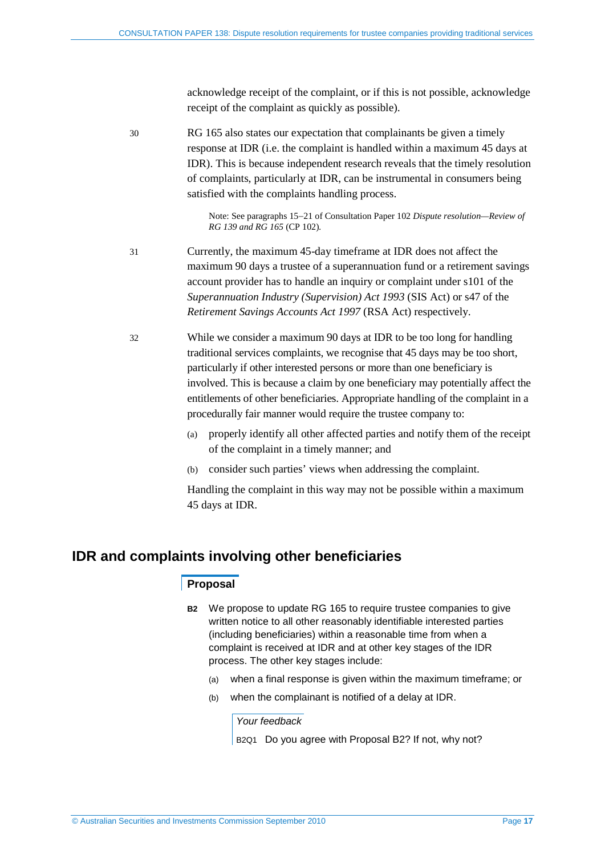acknowledge receipt of the complaint, or if this is not possible, acknowledge receipt of the complaint as quickly as possible).

30 RG 165 also states our expectation that complainants be given a timely response at IDR (i.e. the complaint is handled within a maximum 45 days at IDR). This is because independent research reveals that the timely resolution of complaints, particularly at IDR, can be instrumental in consumers being satisfied with the complaints handling process.

> Note: See paragraphs 15−21 of Consultation Paper 102 *Dispute resolution—Review of RG 139 and RG 165* (CP 102)*.*

- 31 Currently, the maximum 45-day timeframe at IDR does not affect the maximum 90 days a trustee of a superannuation fund or a retirement savings account provider has to handle an inquiry or complaint under s101 of the *Superannuation Industry (Supervision) Act 1993* (SIS Act) or s47 of the *Retirement Savings Accounts Act 1997* (RSA Act) respectively.
- 32 While we consider a maximum 90 days at IDR to be too long for handling traditional services complaints, we recognise that 45 days may be too short, particularly if other interested persons or more than one beneficiary is involved. This is because a claim by one beneficiary may potentially affect the entitlements of other beneficiaries. Appropriate handling of the complaint in a procedurally fair manner would require the trustee company to:
	- (a) properly identify all other affected parties and notify them of the receipt of the complaint in a timely manner; and
	- (b) consider such parties' views when addressing the complaint.

Handling the complaint in this way may not be possible within a maximum 45 days at IDR.

## <span id="page-16-1"></span><span id="page-16-0"></span>**IDR and complaints involving other beneficiaries**

### **Proposal**

- **B2** We propose to update RG 165 to require trustee companies to give written notice to all other reasonably identifiable interested parties (including beneficiaries) within a reasonable time from when a complaint is received at IDR and at other key stages of the IDR process. The other key stages include:
	- (a) when a final response is given within the maximum timeframe; or
	- (b) when the complainant is notified of a delay at IDR.

#### *Your feedback*

B<sub>2Q1</sub> Do you agree with Proposal B<sub>2</sub>? If not, why not?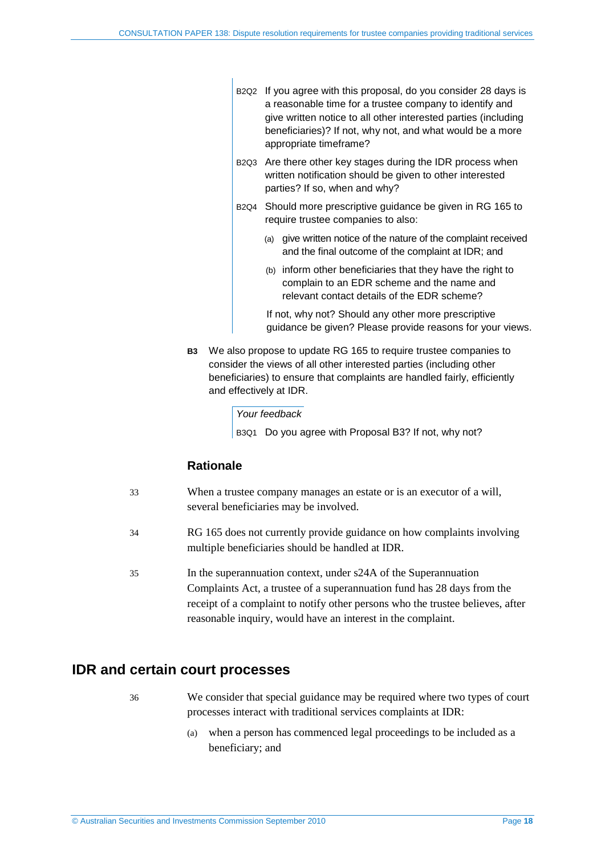- B2Q2 If you agree with this proposal, do you consider 28 days is a reasonable time for a trustee company to identify and give written notice to all other interested parties (including beneficiaries)? If not, why not, and what would be a more appropriate timeframe?
- B2Q3 Are there other key stages during the IDR process when written notification should be given to other interested parties? If so, when and why?
- B2Q4 Should more prescriptive guidance be given in RG 165 to require trustee companies to also:
	- (a) give written notice of the nature of the complaint received and the final outcome of the complaint at IDR; and
	- (b) inform other beneficiaries that they have the right to complain to an EDR scheme and the name and relevant contact details of the EDR scheme?

If not, why not? Should any other more prescriptive guidance be given? Please provide reasons for your views.

**B3** We also propose to update RG 165 to require trustee companies to consider the views of all other interested parties (including other beneficiaries) to ensure that complaints are handled fairly, efficiently and effectively at IDR.

#### *Your feedback*

B3Q1 Do you agree with Proposal B3? If not, why not?

### **Rationale**

- 33 When a trustee company manages an estate or is an executor of a will, several beneficiaries may be involved.
- 34 RG 165 does not currently provide guidance on how complaints involving multiple beneficiaries should be handled at IDR.
- 35 In the superannuation context, under s24A of the Superannuation Complaints Act, a trustee of a superannuation fund has 28 days from the receipt of a complaint to notify other persons who the trustee believes, after reasonable inquiry, would have an interest in the complaint.

## <span id="page-17-0"></span>**IDR and certain court processes**

- 36 We consider that special guidance may be required where two types of court processes interact with traditional services complaints at IDR:
	- (a) when a person has commenced legal proceedings to be included as a beneficiary; and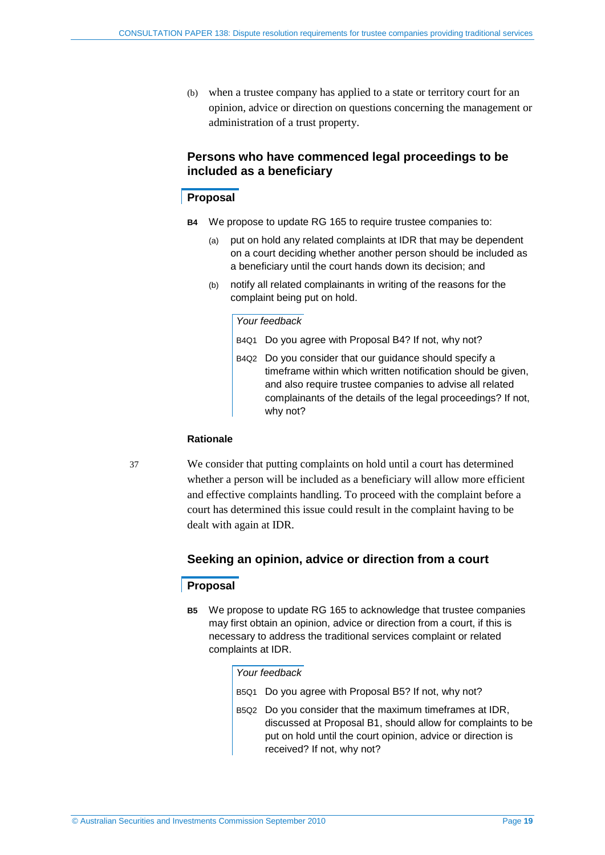(b) when a trustee company has applied to a state or territory court for an opinion, advice or direction on questions concerning the management or administration of a trust property.

## **Persons who have commenced legal proceedings to be included as a beneficiary**

### <span id="page-18-0"></span>**Proposal**

- **B4** We propose to update RG 165 to require trustee companies to:
	- (a) put on hold any related complaints at IDR that may be dependent on a court deciding whether another person should be included as a beneficiary until the court hands down its decision; and
	- (b) notify all related complainants in writing of the reasons for the complaint being put on hold.

#### *Your feedback*

- B4Q1 Do you agree with Proposal [B4?](#page-18-0) If not, why not?
- B4Q2 Do you consider that our guidance should specify a timeframe within which written notification should be given, and also require trustee companies to advise all related complainants of the details of the legal proceedings? If not, why not?

#### **Rationale**

37 We consider that putting complaints on hold until a court has determined whether a person will be included as a beneficiary will allow more efficient and effective complaints handling. To proceed with the complaint before a court has determined this issue could result in the complaint having to be dealt with again at IDR.

## **Seeking an opinion, advice or direction from a court**

## <span id="page-18-1"></span>**Proposal**

**B5** We propose to update RG 165 to acknowledge that trustee companies may first obtain an opinion, advice or direction from a court, if this is necessary to address the traditional services complaint or related complaints at IDR.

#### *Your feedback*

- B5Q1 Do you agree with Proposal [B5?](#page-18-1) If not, why not?
- B5Q2 Do you consider that the maximum timeframes at IDR, discussed at Proposal [B1,](#page-15-2) should allow for complaints to be put on hold until the court opinion, advice or direction is received? If not, why not?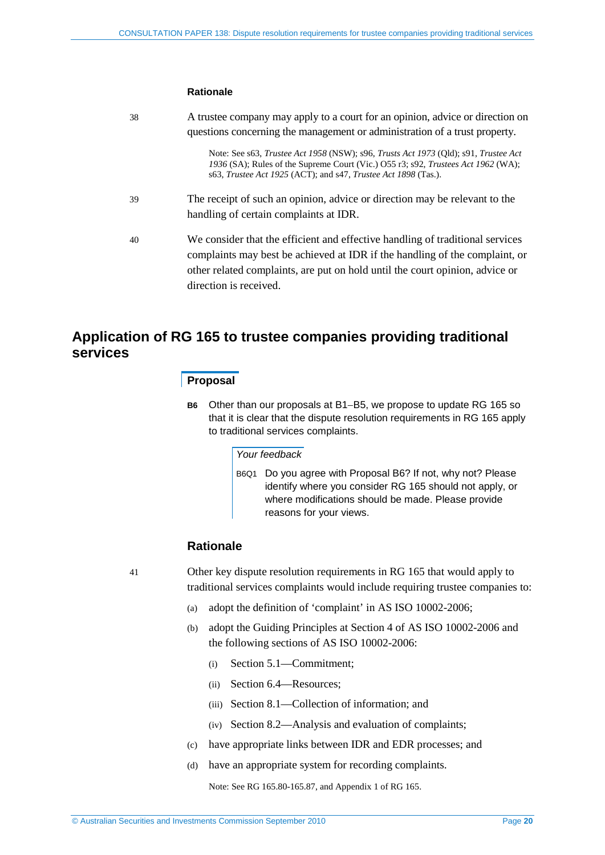#### **Rationale**

| 38 | A trustee company may apply to a court for an opinion, advice or direction on<br>questions concerning the management or administration of a trust property.                                                                                                                   |
|----|-------------------------------------------------------------------------------------------------------------------------------------------------------------------------------------------------------------------------------------------------------------------------------|
|    | Note: See s63, <i>Trustee Act 1958</i> (NSW); s96, <i>Trusts Act 1973</i> (Old); s91, <i>Trustee Act</i><br>1936 (SA); Rules of the Supreme Court (Vic.) 055 r3; s92, Trustees Act 1962 (WA);<br>s63, <i>Trustee Act 1925</i> (ACT); and s47, <i>Trustee Act 1898</i> (Tas.). |
| 39 | The receipt of such an opinion, advice or direction may be relevant to the<br>handling of certain complaints at IDR.                                                                                                                                                          |
| 40 | We consider that the efficient and effective handling of traditional services<br>complaints may best be achieved at IDR if the handling of the complaint, or<br>other related complaints, are put on hold until the court opinion, advice or<br>direction is received.        |

## <span id="page-19-0"></span>**Application of RG 165 to trustee companies providing traditional services**

#### **Proposal**

**B6** Other than our proposals at B1−B5, we propose to update RG 165 so that it is clear that the dispute resolution requirements in RG 165 apply to traditional services complaints.

### *Your feedback*

B6Q1 Do you agree with Proposal B6? If not, why not? Please identify where you consider RG 165 should not apply, or where modifications should be made. Please provide reasons for your views.

## **Rationale**

41 Other key dispute resolution requirements in RG 165 that would apply to traditional services complaints would include requiring trustee companies to:

- (a) adopt the definition of 'complaint' in AS ISO 10002-2006;
- (b) adopt the Guiding Principles at Section 4 of AS ISO 10002-2006 and the following sections of AS ISO 10002-2006:
	- (i) Section 5.1—Commitment;
	- (ii) Section 6.4—Resources;
	- (iii) Section 8.1—Collection of information; and
	- (iv) Section 8.2—Analysis and evaluation of complaints;
- (c) have appropriate links between IDR and EDR processes; and
- (d) have an appropriate system for recording complaints.

Note: See RG 165.80-165.87, and Appendix 1 of RG 165.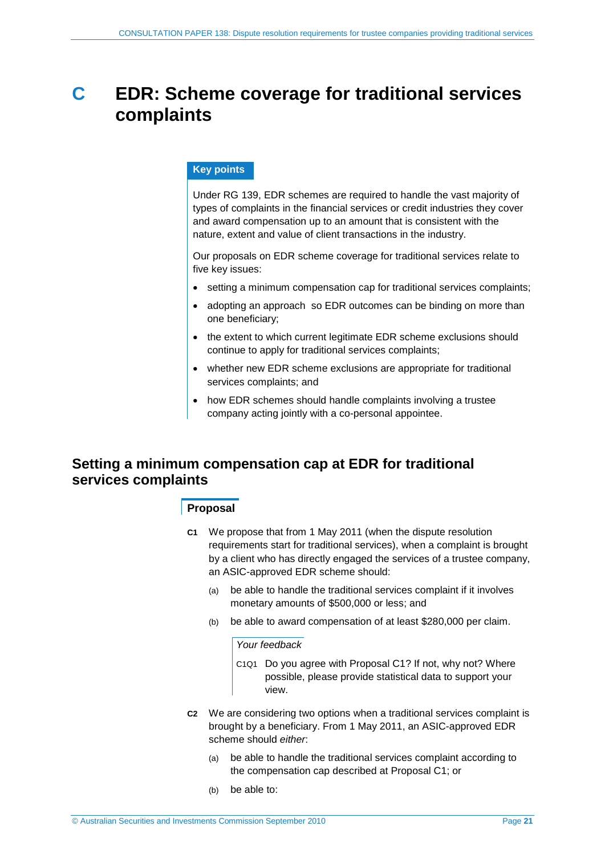# <span id="page-20-0"></span>**C EDR: Scheme coverage for traditional services complaints**

### **Key points**

Under RG 139, EDR schemes are required to handle the vast majority of types of complaints in the financial services or credit industries they cover and award compensation up to an amount that is consistent with the nature, extent and value of client transactions in the industry.

Our proposals on EDR scheme coverage for traditional services relate to five key issues:

- setting a minimum compensation cap for traditional services complaints;
- adopting an approach so EDR outcomes can be binding on more than one beneficiary;
- the extent to which current legitimate EDR scheme exclusions should continue to apply for traditional services complaints;
- whether new EDR scheme exclusions are appropriate for traditional services complaints; and
- how EDR schemes should handle complaints involving a trustee company acting jointly with a co-personal appointee.

## <span id="page-20-2"></span><span id="page-20-1"></span>**Setting a minimum compensation cap at EDR for traditional services complaints**

### **Proposal**

- **C1** We propose that from 1 May 2011 (when the dispute resolution requirements start for traditional services), when a complaint is brought by a client who has directly engaged the services of a trustee company, an ASIC-approved EDR scheme should:
	- (a) be able to handle the traditional services complaint if it involves monetary amounts of \$500,000 or less; and
	- (b) be able to award compensation of at least \$280,000 per claim.

#### *Your feedback*

- C1Q1 Do you agree with Proposal [C1?](#page-20-2) If not, why not? Where possible, please provide statistical data to support your view.
- <span id="page-20-3"></span>**C2** We are considering two options when a traditional services complaint is brought by a beneficiary. From 1 May 2011, an ASIC-approved EDR scheme should *either*:
	- (a) be able to handle the traditional services complaint according to the compensation cap described at Proposal C1; or
	- (b) be able to: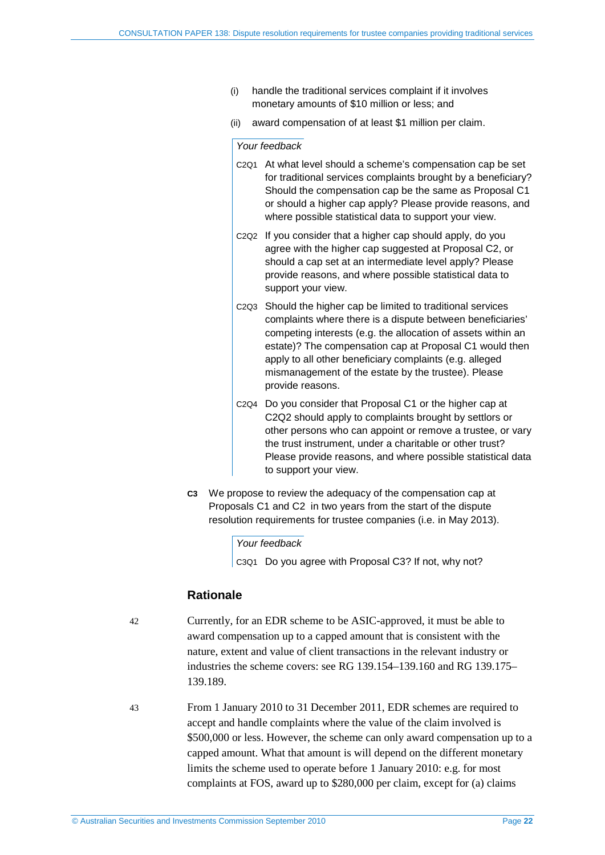- (i) handle the traditional services complaint if it involves monetary amounts of \$10 million or less; and
- (ii) award compensation of at least \$1 million per claim.

#### *Your feedback*

- C2Q1 At what level should a scheme's compensation cap be set for traditional services complaints brought by a beneficiary? Should the compensation cap be the same as Proposal C1 or should a higher cap apply? Please provide reasons, and where possible statistical data to support your view.
- C2Q2 If you consider that a higher cap should apply, do you agree with the higher cap suggested at Proposal C2, or should a cap set at an intermediate level apply? Please provide reasons, and where possible statistical data to support your view.
- C2Q3 Should the higher cap be limited to traditional services complaints where there is a dispute between beneficiaries' competing interests (e.g. the allocation of assets within an estate)? The compensation cap at Proposal C1 would then apply to all other beneficiary complaints (e.g. alleged mismanagement of the estate by the trustee). Please provide reasons.
- C2Q4 Do you consider that Proposal [C1](#page-20-2) or the higher cap at C2Q2 should apply to complaints brought by settlors or other persons who can appoint or remove a trustee, or vary the trust instrument, under a charitable or other trust? Please provide reasons, and where possible statistical data to support your view.
- <span id="page-21-0"></span>**C3** We propose to review the adequacy of the compensation cap at Proposals [C1](#page-20-2) and [C2](#page-20-3) in two years from the start of the dispute resolution requirements for trustee companies (i.e. in May 2013).

#### *Your feedback*

C3Q1 Do you agree with Proposal [C3?](#page-21-0) If not, why not?

## **Rationale**

- 42 Currently, for an EDR scheme to be ASIC-approved, it must be able to award compensation up to a capped amount that is consistent with the nature, extent and value of client transactions in the relevant industry or industries the scheme covers: see RG 139.154–139.160 and RG 139.175– 139.189.
- 43 From 1 January 2010 to 31 December 2011, EDR schemes are required to accept and handle complaints where the value of the claim involved is \$500,000 or less. However, the scheme can only award compensation up to a capped amount. What that amount is will depend on the different monetary limits the scheme used to operate before 1 January 2010: e.g. for most complaints at FOS, award up to \$280,000 per claim, except for (a) claims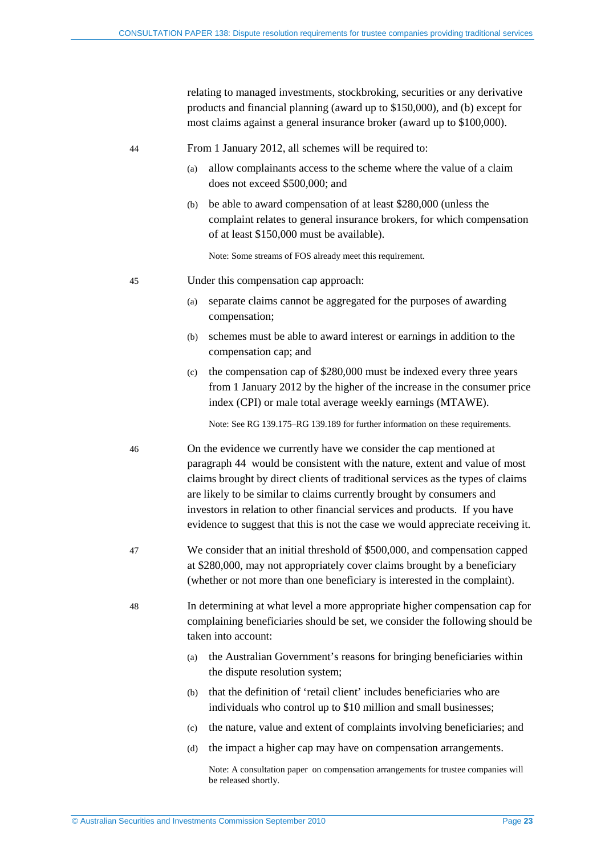relating to managed investments, stockbroking, securities or any derivative products and financial planning (award up to \$150,000), and (b) except for most claims against a general insurance broker (award up to \$100,000).

<span id="page-22-0"></span>44 From 1 January 2012, all schemes will be required to:

- (a) allow complainants access to the scheme where the value of a claim does not exceed \$500,000; and
- (b) be able to award compensation of at least \$280,000 (unless the complaint relates to general insurance brokers, for which compensation of at least \$150,000 must be available).

Note: Some streams of FOS already meet this requirement.

- 45 Under this compensation cap approach:
	- (a) separate claims cannot be aggregated for the purposes of awarding compensation;
	- (b) schemes must be able to award interest or earnings in addition to the compensation cap; and
	- (c) the compensation cap of \$280,000 must be indexed every three years from 1 January 2012 by the higher of the increase in the consumer price index (CPI) or male total average weekly earnings (MTAWE).

Note: See RG 139.175–RG 139.189 for further information on these requirements.

- 46 On the evidence we currently have we consider the cap mentioned at paragraph [44](#page-22-0) would be consistent with the nature, extent and value of most claims brought by direct clients of traditional services as the types of claims are likely to be similar to claims currently brought by consumers and investors in relation to other financial services and products. If you have evidence to suggest that this is not the case we would appreciate receiving it.
- 47 We consider that an initial threshold of \$500,000, and compensation capped at \$280,000, may not appropriately cover claims brought by a beneficiary (whether or not more than one beneficiary is interested in the complaint).
- 48 In determining at what level a more appropriate higher compensation cap for complaining beneficiaries should be set, we consider the following should be taken into account:
	- (a) the Australian Government's reasons for bringing beneficiaries within the dispute resolution system;
	- (b) that the definition of 'retail client' includes beneficiaries who are individuals who control up to \$10 million and small businesses;
	- (c) the nature, value and extent of complaints involving beneficiaries; and
	- (d) the impact a higher cap may have on compensation arrangements.

Note: A consultation paper on compensation arrangements for trustee companies will be released shortly.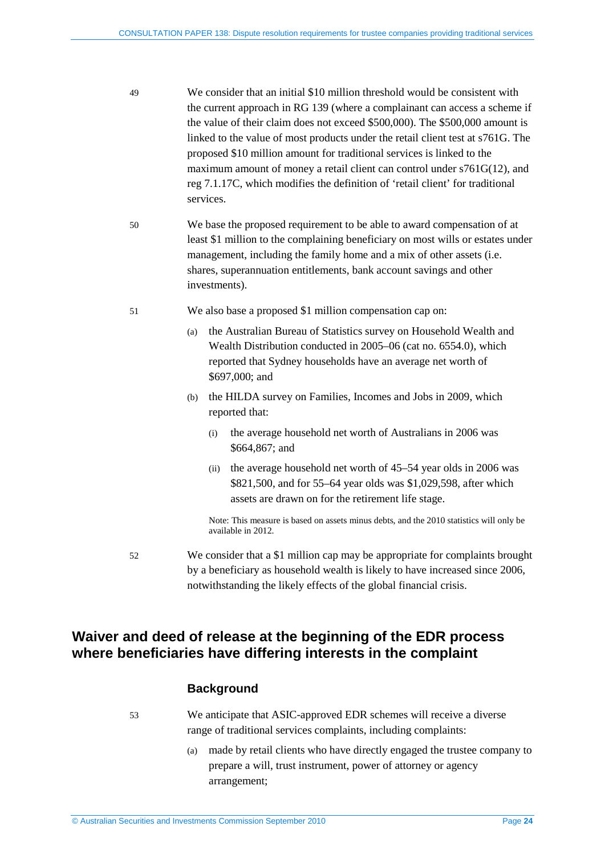- 49 We consider that an initial \$10 million threshold would be consistent with the current approach in RG 139 (where a complainant can access a scheme if the value of their claim does not exceed \$500,000). The \$500,000 amount is linked to the value of most products under the retail client test at s761G. The proposed \$10 million amount for traditional services is linked to the maximum amount of money a retail client can control under s761G(12), and reg 7.1.17C, which modifies the definition of 'retail client' for traditional services.
- 50 We base the proposed requirement to be able to award compensation of at least \$1 million to the complaining beneficiary on most wills or estates under management, including the family home and a mix of other assets (i.e. shares, superannuation entitlements, bank account savings and other investments).
- 51 We also base a proposed \$1 million compensation cap on:
	- (a) the Australian Bureau of Statistics survey on Household Wealth and Wealth Distribution conducted in 2005–06 (cat no. 6554.0), which reported that Sydney households have an average net worth of \$697,000; and
	- (b) the HILDA survey on Families, Incomes and Jobs in 2009, which reported that:
		- (i) the average household net worth of Australians in 2006 was \$664,867; and
		- (ii) the average household net worth of 45–54 year olds in 2006 was \$821,500, and for 55–64 year olds was \$1,029,598, after which assets are drawn on for the retirement life stage.

Note: This measure is based on assets minus debts, and the 2010 statistics will only be available in 2012.

52 We consider that a \$1 million cap may be appropriate for complaints brought by a beneficiary as household wealth is likely to have increased since 2006, notwithstanding the likely effects of the global financial crisis.

## <span id="page-23-0"></span>**Waiver and deed of release at the beginning of the EDR process where beneficiaries have differing interests in the complaint**

## **Background**

53 We anticipate that ASIC-approved EDR schemes will receive a diverse range of traditional services complaints, including complaints:

> (a) made by retail clients who have directly engaged the trustee company to prepare a will, trust instrument, power of attorney or agency arrangement;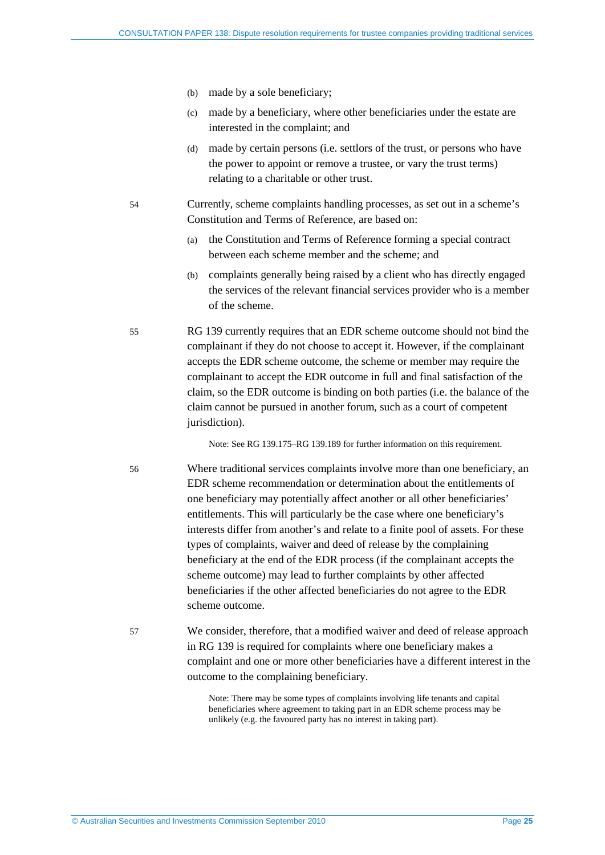- (b) made by a sole beneficiary;
- (c) made by a beneficiary, where other beneficiaries under the estate are interested in the complaint; and
- (d) made by certain persons (i.e. settlors of the trust, or persons who have the power to appoint or remove a trustee, or vary the trust terms) relating to a charitable or other trust.
- 54 Currently, scheme complaints handling processes, as set out in a scheme's Constitution and Terms of Reference, are based on:
	- (a) the Constitution and Terms of Reference forming a special contract between each scheme member and the scheme; and
	- (b) complaints generally being raised by a client who has directly engaged the services of the relevant financial services provider who is a member of the scheme.
- 55 RG 139 currently requires that an EDR scheme outcome should not bind the complainant if they do not choose to accept it. However, if the complainant accepts the EDR scheme outcome, the scheme or member may require the complainant to accept the EDR outcome in full and final satisfaction of the claim, so the EDR outcome is binding on both parties (i.e. the balance of the claim cannot be pursued in another forum, such as a court of competent jurisdiction).

Note: See RG 139.175–RG 139.189 for further information on this requirement.

- 56 Where traditional services complaints involve more than one beneficiary, an EDR scheme recommendation or determination about the entitlements of one beneficiary may potentially affect another or all other beneficiaries' entitlements. This will particularly be the case where one beneficiary's interests differ from another's and relate to a finite pool of assets. For these types of complaints, waiver and deed of release by the complaining beneficiary at the end of the EDR process (if the complainant accepts the scheme outcome) may lead to further complaints by other affected beneficiaries if the other affected beneficiaries do not agree to the EDR scheme outcome.
- 57 We consider, therefore, that a modified waiver and deed of release approach in RG 139 is required for complaints where one beneficiary makes a complaint and one or more other beneficiaries have a different interest in the outcome to the complaining beneficiary.

Note: There may be some types of complaints involving life tenants and capital beneficiaries where agreement to taking part in an EDR scheme process may be unlikely (e.g. the favoured party has no interest in taking part).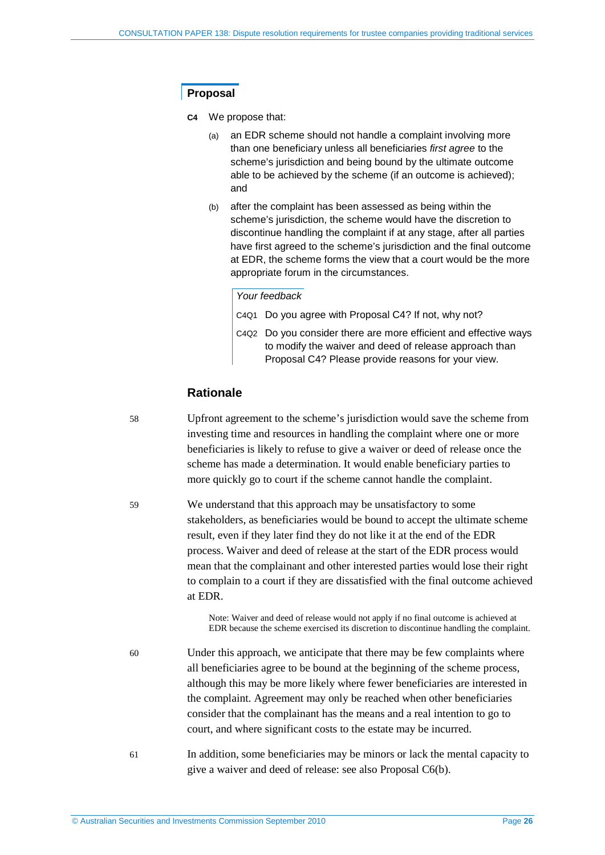## **Proposal**

**C4** We propose that:

- (a) an EDR scheme should not handle a complaint involving more than one beneficiary unless all beneficiaries *first agree* to the scheme's jurisdiction and being bound by the ultimate outcome able to be achieved by the scheme (if an outcome is achieved); and
- (b) after the complaint has been assessed as being within the scheme's jurisdiction, the scheme would have the discretion to discontinue handling the complaint if at any stage, after all parties have first agreed to the scheme's jurisdiction and the final outcome at EDR, the scheme forms the view that a court would be the more appropriate forum in the circumstances.

#### *Your feedback*

- C4Q1 Do you agree with Proposal C4? If not, why not?
- C4Q2 Do you consider there are more efficient and effective ways to modify the waiver and deed of release approach than Proposal C4? Please provide reasons for your view.

## **Rationale**

58 Upfront agreement to the scheme's jurisdiction would save the scheme from investing time and resources in handling the complaint where one or more beneficiaries is likely to refuse to give a waiver or deed of release once the scheme has made a determination. It would enable beneficiary parties to more quickly go to court if the scheme cannot handle the complaint.

59 We understand that this approach may be unsatisfactory to some stakeholders, as beneficiaries would be bound to accept the ultimate scheme result, even if they later find they do not like it at the end of the EDR process. Waiver and deed of release at the start of the EDR process would mean that the complainant and other interested parties would lose their right to complain to a court if they are dissatisfied with the final outcome achieved at EDR.

> Note: Waiver and deed of release would not apply if no final outcome is achieved at EDR because the scheme exercised its discretion to discontinue handling the complaint.

60 Under this approach, we anticipate that there may be few complaints where all beneficiaries agree to be bound at the beginning of the scheme process, although this may be more likely where fewer beneficiaries are interested in the complaint. Agreement may only be reached when other beneficiaries consider that the complainant has the means and a real intention to go to court, and where significant costs to the estate may be incurred.

61 In addition, some beneficiaries may be minors or lack the mental capacity to give a waiver and deed of release: see also Proposal C6(b).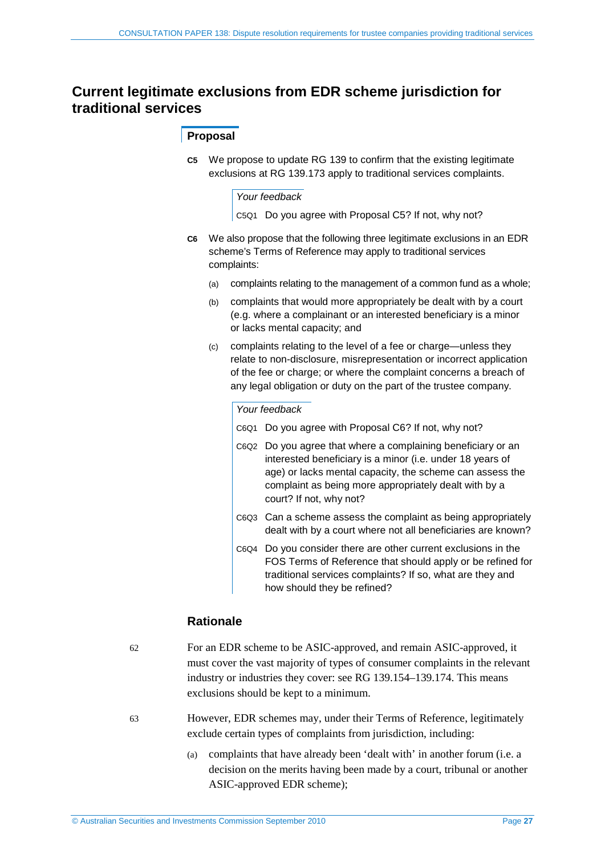## <span id="page-26-1"></span><span id="page-26-0"></span>**Current legitimate exclusions from EDR scheme jurisdiction for traditional services**

## **Proposal**

**C5** We propose to update RG 139 to confirm that the existing legitimate exclusions at RG 139.173 apply to traditional services complaints.

#### *Your feedback*

C5Q1 Do you agree with Proposal [C5?](#page-26-1) If not, why not?

- **C6** We also propose that the following three legitimate exclusions in an EDR scheme's Terms of Reference may apply to traditional services complaints:
	- (a) complaints relating to the management of a common fund as a whole;
	- (b) complaints that would more appropriately be dealt with by a court (e.g. where a complainant or an interested beneficiary is a minor or lacks mental capacity; and
	- (c) complaints relating to the level of a fee or charge—unless they relate to non-disclosure, misrepresentation or incorrect application of the fee or charge; or where the complaint concerns a breach of any legal obligation or duty on the part of the trustee company.

#### *Your feedback*

- C6Q1 Do you agree with Proposal C6? If not, why not?
- C6Q2 Do you agree that where a complaining beneficiary or an interested beneficiary is a minor (i.e. under 18 years of age) or lacks mental capacity, the scheme can assess the complaint as being more appropriately dealt with by a court? If not, why not?
- C6Q3 Can a scheme assess the complaint as being appropriately dealt with by a court where not all beneficiaries are known?
- C6Q4 Do you consider there are other current exclusions in the FOS Terms of Reference that should apply or be refined for traditional services complaints? If so, what are they and how should they be refined?

## **Rationale**

- 62 For an EDR scheme to be ASIC-approved, and remain ASIC-approved, it must cover the vast majority of types of consumer complaints in the relevant industry or industries they cover: see RG 139.154–139.174. This means exclusions should be kept to a minimum.
- 63 However, EDR schemes may, under their Terms of Reference, legitimately exclude certain types of complaints from jurisdiction, including:
	- (a) complaints that have already been 'dealt with' in another forum (i.e. a decision on the merits having been made by a court, tribunal or another ASIC-approved EDR scheme);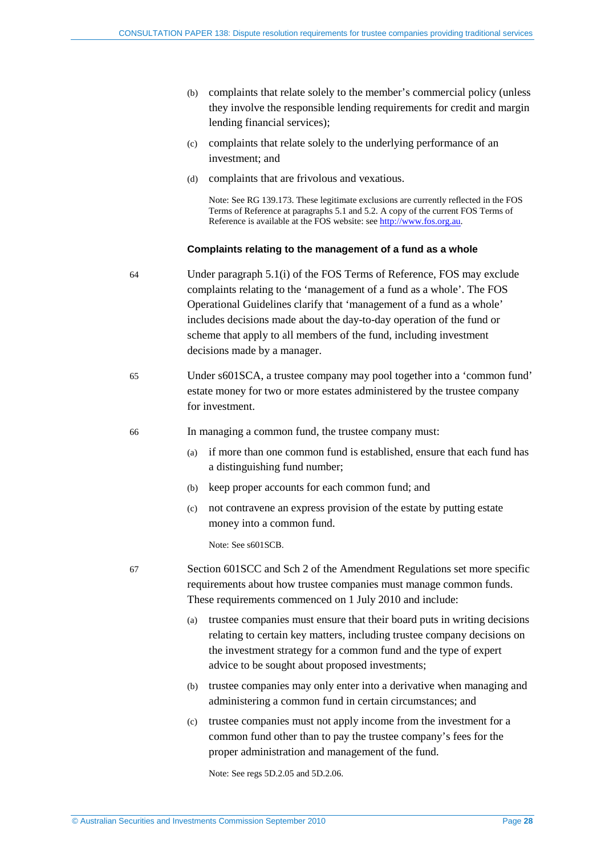- (b) complaints that relate solely to the member's commercial policy (unless they involve the responsible lending requirements for credit and margin lending financial services);
- (c) complaints that relate solely to the underlying performance of an investment; and
- (d) complaints that are frivolous and vexatious.

Note: See RG 139.173. These legitimate exclusions are currently reflected in the FOS Terms of Reference at paragraphs 5.1 and 5.2. A copy of the current FOS Terms of Reference is available at the FOS website: see [http://www.fos.org.au.](http://www.fos.org.au/centric/home_page/about_us/terms_of_reference_b.jsp)

#### **Complaints relating to the management of a fund as a whole**

- 64 Under paragraph 5.1(i) of the FOS Terms of Reference, FOS may exclude complaints relating to the 'management of a fund as a whole'. The FOS Operational Guidelines clarify that 'management of a fund as a whole' includes decisions made about the day-to-day operation of the fund or scheme that apply to all members of the fund, including investment decisions made by a manager.
- 65 Under s601SCA, a trustee company may pool together into a 'common fund' estate money for two or more estates administered by the trustee company for investment.

66 In managing a common fund, the trustee company must:

- (a) if more than one common fund is established, ensure that each fund has a distinguishing fund number;
- (b) keep proper accounts for each common fund; and
- (c) not contravene an express provision of the estate by putting estate money into a common fund.

Note: See s601SCB.

- 67 Section 601SCC and Sch 2 of the Amendment Regulations set more specific requirements about how trustee companies must manage common funds. These requirements commenced on 1 July 2010 and include:
	- (a) trustee companies must ensure that their board puts in writing decisions relating to certain key matters, including trustee company decisions on the investment strategy for a common fund and the type of expert advice to be sought about proposed investments;
	- (b) trustee companies may only enter into a derivative when managing and administering a common fund in certain circumstances; and
	- (c) trustee companies must not apply income from the investment for a common fund other than to pay the trustee company's fees for the proper administration and management of the fund.

Note: See regs 5D.2.05 and 5D.2.06.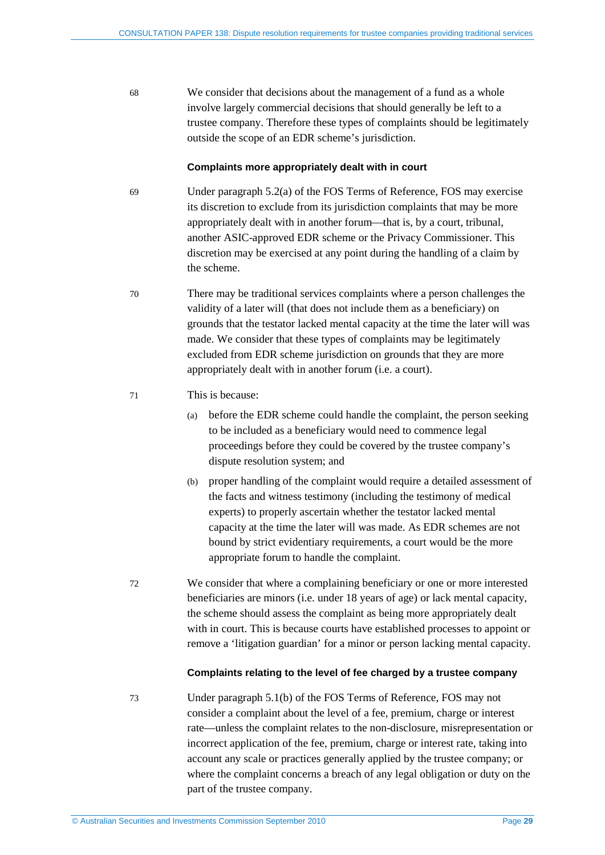68 We consider that decisions about the management of a fund as a whole involve largely commercial decisions that should generally be left to a trustee company. Therefore these types of complaints should be legitimately outside the scope of an EDR scheme's jurisdiction.

#### **Complaints more appropriately dealt with in court**

- 69 Under paragraph 5.2(a) of the FOS Terms of Reference, FOS may exercise its discretion to exclude from its jurisdiction complaints that may be more appropriately dealt with in another forum—that is, by a court, tribunal, another ASIC-approved EDR scheme or the Privacy Commissioner. This discretion may be exercised at any point during the handling of a claim by the scheme.
- 70 There may be traditional services complaints where a person challenges the validity of a later will (that does not include them as a beneficiary) on grounds that the testator lacked mental capacity at the time the later will was made. We consider that these types of complaints may be legitimately excluded from EDR scheme jurisdiction on grounds that they are more appropriately dealt with in another forum (i.e. a court).

#### 71 This is because:

- (a) before the EDR scheme could handle the complaint, the person seeking to be included as a beneficiary would need to commence legal proceedings before they could be covered by the trustee company's dispute resolution system; and
- (b) proper handling of the complaint would require a detailed assessment of the facts and witness testimony (including the testimony of medical experts) to properly ascertain whether the testator lacked mental capacity at the time the later will was made. As EDR schemes are not bound by strict evidentiary requirements, a court would be the more appropriate forum to handle the complaint.
- 72 We consider that where a complaining beneficiary or one or more interested beneficiaries are minors (i.e. under 18 years of age) or lack mental capacity, the scheme should assess the complaint as being more appropriately dealt with in court. This is because courts have established processes to appoint or remove a 'litigation guardian' for a minor or person lacking mental capacity.

#### **Complaints relating to the level of fee charged by a trustee company**

73 Under paragraph 5.1(b) of the FOS Terms of Reference, FOS may not consider a complaint about the level of a fee, premium, charge or interest rate—unless the complaint relates to the non-disclosure, misrepresentation or incorrect application of the fee, premium, charge or interest rate, taking into account any scale or practices generally applied by the trustee company; or where the complaint concerns a breach of any legal obligation or duty on the part of the trustee company.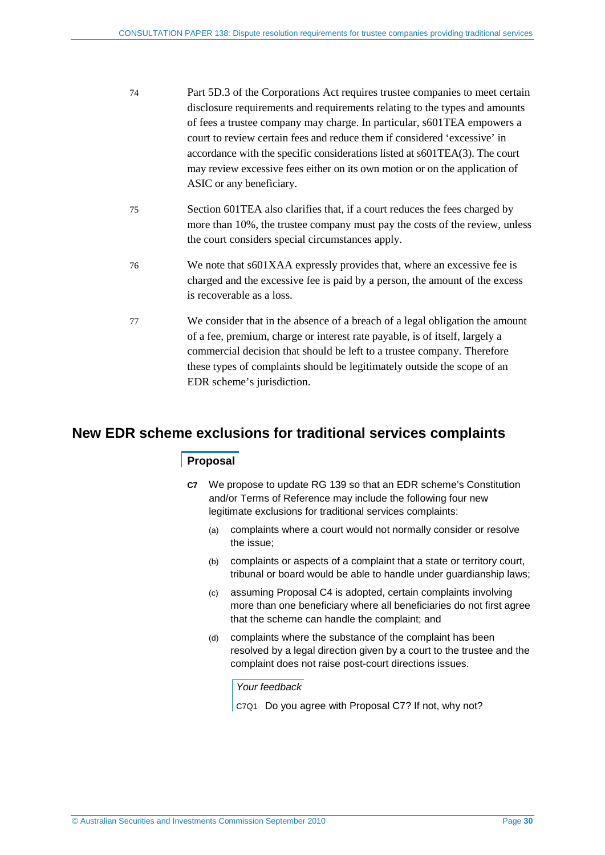- 74 Part 5D.3 of the Corporations Act requires trustee companies to meet certain disclosure requirements and requirements relating to the types and amounts of fees a trustee company may charge. In particular, s601TEA empowers a court to review certain fees and reduce them if considered 'excessive' in accordance with the specific considerations listed at s601TEA(3). The court may review excessive fees either on its own motion or on the application of ASIC or any beneficiary.
- 75 Section 601TEA also clarifies that, if a court reduces the fees charged by more than 10%, the trustee company must pay the costs of the review, unless the court considers special circumstances apply.
- 76 We note that s601XAA expressly provides that, where an excessive fee is charged and the excessive fee is paid by a person, the amount of the excess is recoverable as a loss.
- 77 We consider that in the absence of a breach of a legal obligation the amount of a fee, premium, charge or interest rate payable, is of itself, largely a commercial decision that should be left to a trustee company. Therefore these types of complaints should be legitimately outside the scope of an EDR scheme's jurisdiction.

## <span id="page-29-2"></span><span id="page-29-1"></span><span id="page-29-0"></span>**New EDR scheme exclusions for traditional services complaints**

### **Proposal**

- **C7** We propose to update RG 139 so that an EDR scheme's Constitution and/or Terms of Reference may include the following four new legitimate exclusions for traditional services complaints:
	- (a) complaints where a court would not normally consider or resolve the issue;
	- (b) complaints or aspects of a complaint that a state or territory court, tribunal or board would be able to handle under guardianship laws;
	- (c) assuming Proposal C4 is adopted, certain complaints involving more than one beneficiary where all beneficiaries do not first agree that the scheme can handle the complaint; and
	- (d) complaints where the substance of the complaint has been resolved by a legal direction given by a court to the trustee and the complaint does not raise post-court directions issues.

*Your feedback*

C7Q1 Do you agree with Proposal [C7?](#page-29-1) If not, why not?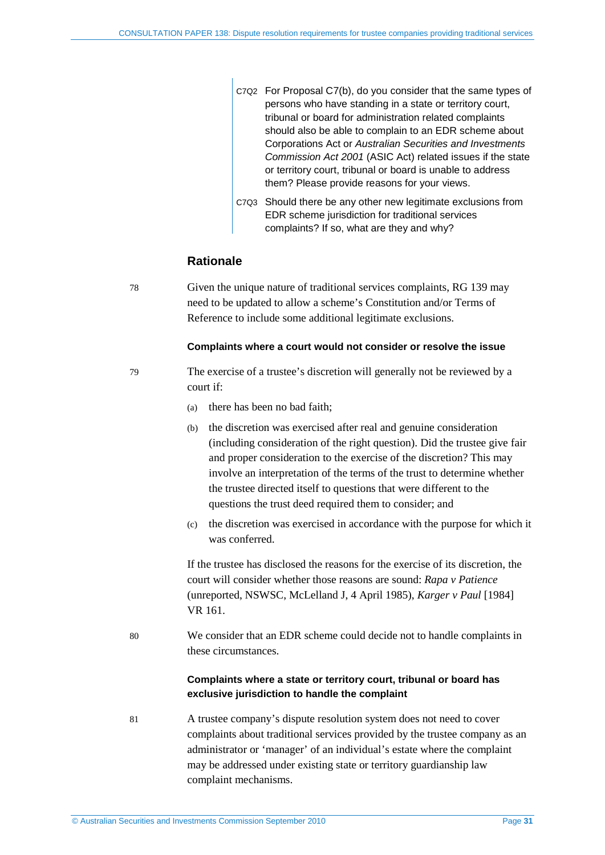| C7Q2 For Proposal C7(b), do you consider that the same types of |
|-----------------------------------------------------------------|
| persons who have standing in a state or territory court,        |
| tribunal or board for administration related complaints         |
| should also be able to complain to an EDR scheme about          |
| Corporations Act or Australian Securities and Investments       |
| Commission Act 2001 (ASIC Act) related issues if the state      |
| or territory court, tribunal or board is unable to address      |
| them? Please provide reasons for your views.                    |

C7Q3 Should there be any other new legitimate exclusions from EDR scheme jurisdiction for traditional services complaints? If so, what are they and why?

## **Rationale**

78 Given the unique nature of traditional services complaints, RG 139 may need to be updated to allow a scheme's Constitution and/or Terms of Reference to include some additional legitimate exclusions.

#### **Complaints where a court would not consider or resolve the issue**

- 79 The exercise of a trustee's discretion will generally not be reviewed by a court if:
	- (a) there has been no bad faith;
	- (b) the discretion was exercised after real and genuine consideration (including consideration of the right question). Did the trustee give fair and proper consideration to the exercise of the discretion? This may involve an interpretation of the terms of the trust to determine whether the trustee directed itself to questions that were different to the questions the trust deed required them to consider; and
	- (c) the discretion was exercised in accordance with the purpose for which it was conferred.

If the trustee has disclosed the reasons for the exercise of its discretion, the court will consider whether those reasons are sound: *Rapa v Patience* (unreported, NSWSC, McLelland J, 4 April 1985), *Karger v Paul* [1984] VR 161.

80 We consider that an EDR scheme could decide not to handle complaints in these circumstances.

### **Complaints where a state or territory court, tribunal or board has exclusive jurisdiction to handle the complaint**

81 A trustee company's dispute resolution system does not need to cover complaints about traditional services provided by the trustee company as an administrator or 'manager' of an individual's estate where the complaint may be addressed under existing state or territory guardianship law complaint mechanisms.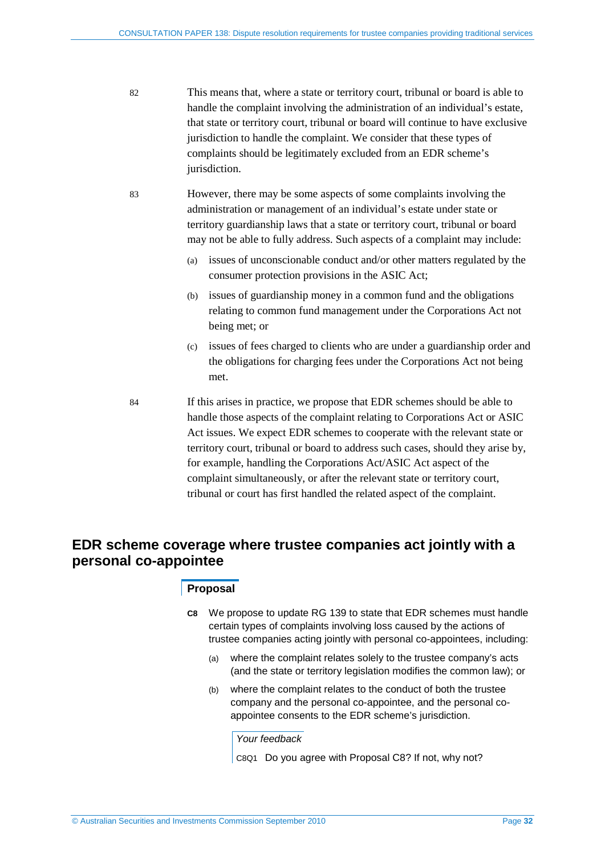- 82 This means that, where a state or territory court, tribunal or board is able to handle the complaint involving the administration of an individual's estate, that state or territory court, tribunal or board will continue to have exclusive jurisdiction to handle the complaint. We consider that these types of complaints should be legitimately excluded from an EDR scheme's jurisdiction.
- 83 However, there may be some aspects of some complaints involving the administration or management of an individual's estate under state or territory guardianship laws that a state or territory court, tribunal or board may not be able to fully address. Such aspects of a complaint may include:
	- (a) issues of unconscionable conduct and/or other matters regulated by the consumer protection provisions in the ASIC Act;
	- (b) issues of guardianship money in a common fund and the obligations relating to common fund management under the Corporations Act not being met; or
	- (c) issues of fees charged to clients who are under a guardianship order and the obligations for charging fees under the Corporations Act not being met.
- 84 If this arises in practice, we propose that EDR schemes should be able to handle those aspects of the complaint relating to Corporations Act or ASIC Act issues. We expect EDR schemes to cooperate with the relevant state or territory court, tribunal or board to address such cases, should they arise by, for example, handling the Corporations Act/ASIC Act aspect of the complaint simultaneously, or after the relevant state or territory court, tribunal or court has first handled the related aspect of the complaint.

## <span id="page-31-0"></span>**EDR scheme coverage where trustee companies act jointly with a personal co-appointee**

#### **Proposal**

- **C8** We propose to update RG 139 to state that EDR schemes must handle certain types of complaints involving loss caused by the actions of trustee companies acting jointly with personal co-appointees, including:
	- (a) where the complaint relates solely to the trustee company's acts (and the state or territory legislation modifies the common law); or
	- (b) where the complaint relates to the conduct of both the trustee company and the personal co-appointee, and the personal coappointee consents to the EDR scheme's jurisdiction.

*Your feedback*

C8Q1 Do you agree with Proposal C8? If not, why not?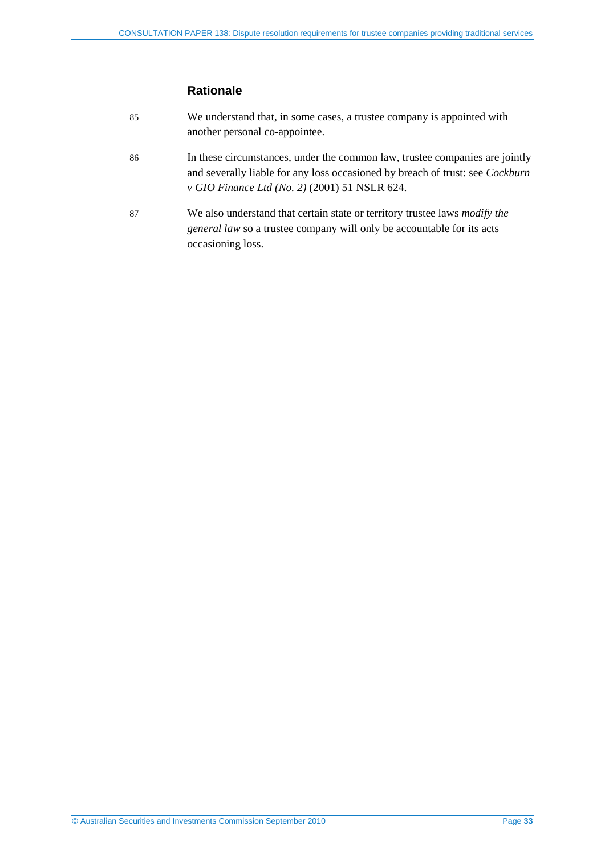## **Rationale**

| 85 | We understand that, in some cases, a trustee company is appointed with<br>another personal co-appointee.                                                                                                             |
|----|----------------------------------------------------------------------------------------------------------------------------------------------------------------------------------------------------------------------|
| 86 | In these circumstances, under the common law, trustee companies are jointly<br>and severally liable for any loss occasioned by breach of trust: see <i>Cockburn</i><br>v GIO Finance Ltd (No. 2) (2001) 51 NSLR 624. |
| 87 | We also understand that certain state or territory trustee laws <i>modify the</i><br><i>general law</i> so a trustee company will only be accountable for its acts<br>occasioning loss.                              |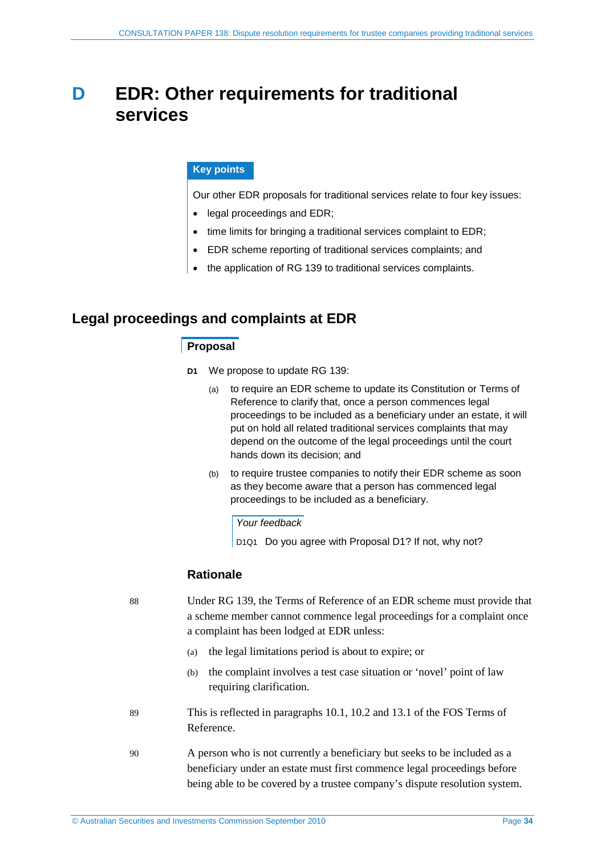# <span id="page-33-0"></span>**D EDR: Other requirements for traditional services**

### **Key points**

Our other EDR proposals for traditional services relate to four key issues:

- legal proceedings and EDR;
- time limits for bringing a traditional services complaint to EDR;
- EDR scheme reporting of traditional services complaints; and
- the application of RG 139 to traditional services complaints.

## <span id="page-33-2"></span><span id="page-33-1"></span>**Legal proceedings and complaints at EDR**

### **Proposal**

- **D1** We propose to update RG 139:
	- (a) to require an EDR scheme to update its Constitution or Terms of Reference to clarify that, once a person commences legal proceedings to be included as a beneficiary under an estate, it will put on hold all related traditional services complaints that may depend on the outcome of the legal proceedings until the court hands down its decision; and
	- (b) to require trustee companies to notify their EDR scheme as soon as they become aware that a person has commenced legal proceedings to be included as a beneficiary.

#### *Your feedback*

D1Q1 Do you agree with Proposal [D1?](#page-33-2) If not, why not?

## **Rationale**

88 Under RG 139, the Terms of Reference of an EDR scheme must provide that a scheme member cannot commence legal proceedings for a complaint once a complaint has been lodged at EDR unless:

- (a) the legal limitations period is about to expire; or
- (b) the complaint involves a test case situation or 'novel' point of law requiring clarification.
- 89 This is reflected in paragraphs 10.1, 10.2 and 13.1 of the FOS Terms of Reference.
- 90 A person who is not currently a beneficiary but seeks to be included as a beneficiary under an estate must first commence legal proceedings before being able to be covered by a trustee company's dispute resolution system.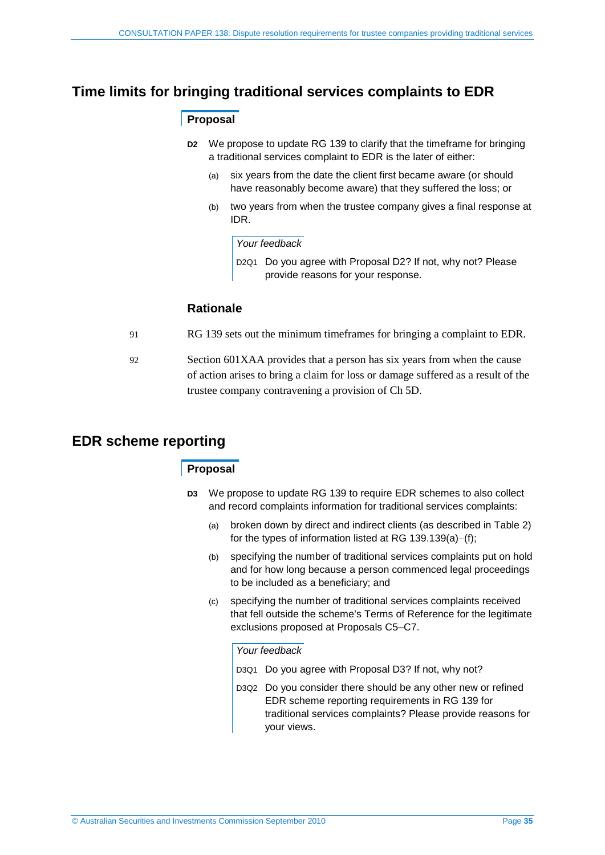## <span id="page-34-2"></span><span id="page-34-0"></span>**Time limits for bringing traditional services complaints to EDR**

## **Proposal**

- **D2** We propose to update RG 139 to clarify that the timeframe for bringing a traditional services complaint to EDR is the later of either:
	- (a) six years from the date the client first became aware (or should have reasonably become aware) that they suffered the loss; or
	- (b) two years from when the trustee company gives a final response at IDR.

#### *Your feedback*

D2Q1 Do you agree with Proposal [D2?](#page-34-2) If not, why not? Please provide reasons for your response.

## **Rationale**

- 91 RG 139 sets out the minimum timeframes for bringing a complaint to EDR.
- 92 Section 601XAA provides that a person has six years from when the cause of action arises to bring a claim for loss or damage suffered as a result of the trustee company contravening a provision of Ch 5D.

## <span id="page-34-3"></span><span id="page-34-1"></span>**EDR scheme reporting**

## **Proposal**

- **D3** We propose to update RG 139 to require EDR schemes to also collect and record complaints information for traditional services complaints:
	- (a) broken down by direct and indirect clients (as described in [Table 2\)](#page-8-0) for the types of information listed at RG 139.139(a)−(f);
	- (b) specifying the number of traditional services complaints put on hold and for how long because a person commenced legal proceedings to be included as a beneficiary; and
	- (c) specifying the number of traditional services complaints received that fell outside the scheme's Terms of Reference for the legitimate exclusions proposed at Proposals [C5](#page-26-1)[–C7.](#page-29-1)

#### *Your feedback*

- D3Q1 Do you agree with Proposal [D3?](#page-34-3) If not, why not?
- D3Q2 Do you consider there should be any other new or refined EDR scheme reporting requirements in RG 139 for traditional services complaints? Please provide reasons for your views.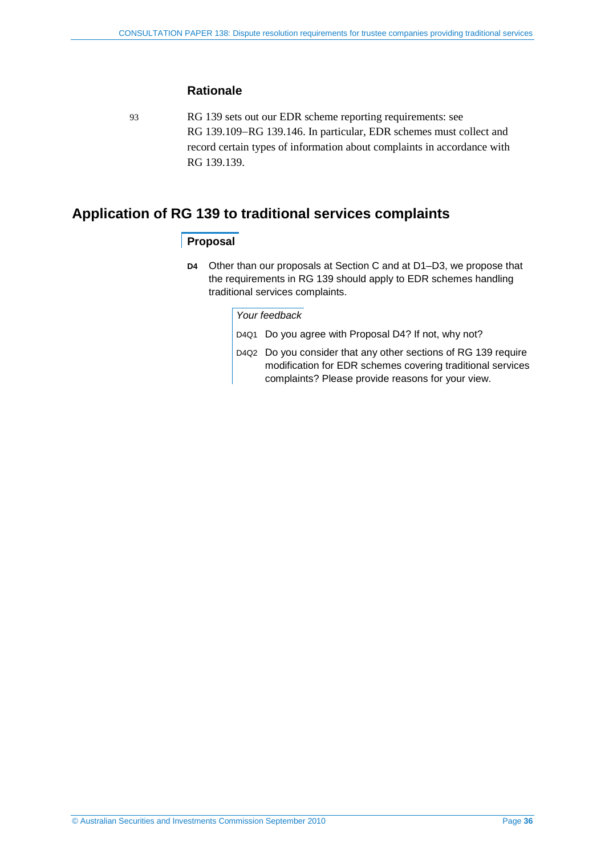## **Rationale**

93 RG 139 sets out our EDR scheme reporting requirements: see RG 139.109−RG 139.146. In particular, EDR schemes must collect and record certain types of information about complaints in accordance with RG 139.139.

## <span id="page-35-1"></span><span id="page-35-0"></span>**Application of RG 139 to traditional services complaints**

## **Proposal**

**D4** Other than our proposals at Section [C](#page-20-0) and at [D1–](#page-33-2)[D3,](#page-34-3) we propose that the requirements in RG 139 should apply to EDR schemes handling traditional services complaints.

#### *Your feedback*

- D4Q1 Do you agree with Proposal [D4?](#page-35-1) If not, why not?
- D4Q2 Do you consider that any other sections of RG 139 require modification for EDR schemes covering traditional services complaints? Please provide reasons for your view.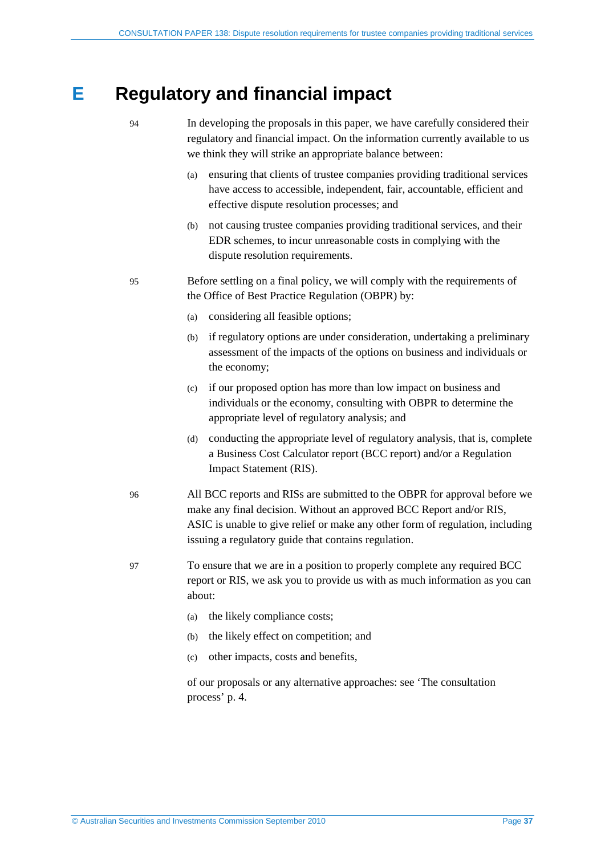# <span id="page-36-0"></span>**E Regulatory and financial impact**

- 94 In developing the proposals in this paper, we have carefully considered their regulatory and financial impact. On the information currently available to us we think they will strike an appropriate balance between:
	- (a) ensuring that clients of trustee companies providing traditional services have access to accessible, independent, fair, accountable, efficient and effective dispute resolution processes; and
	- (b) not causing trustee companies providing traditional services, and their EDR schemes, to incur unreasonable costs in complying with the dispute resolution requirements.
- 95 Before settling on a final policy, we will comply with the requirements of the Office of Best Practice Regulation (OBPR) by:
	- (a) considering all feasible options;
	- (b) if regulatory options are under consideration, undertaking a preliminary assessment of the impacts of the options on business and individuals or the economy;
	- (c) if our proposed option has more than low impact on business and individuals or the economy, consulting with OBPR to determine the appropriate level of regulatory analysis; and
	- (d) conducting the appropriate level of regulatory analysis, that is, complete a Business Cost Calculator report (BCC report) and/or a Regulation Impact Statement (RIS).
- 96 All BCC reports and RISs are submitted to the OBPR for approval before we make any final decision. Without an approved BCC Report and/or RIS, ASIC is unable to give relief or make any other form of regulation, including issuing a regulatory guide that contains regulation.
- 97 To ensure that we are in a position to properly complete any required BCC report or RIS, we ask you to provide us with as much information as you can about:
	- (a) the likely compliance costs;
	- (b) the likely effect on competition; and
	- (c) other impacts, costs and benefits,

of our proposals or any alternative approaches: see 'The consultation process' p[. 4.](#page-3-1)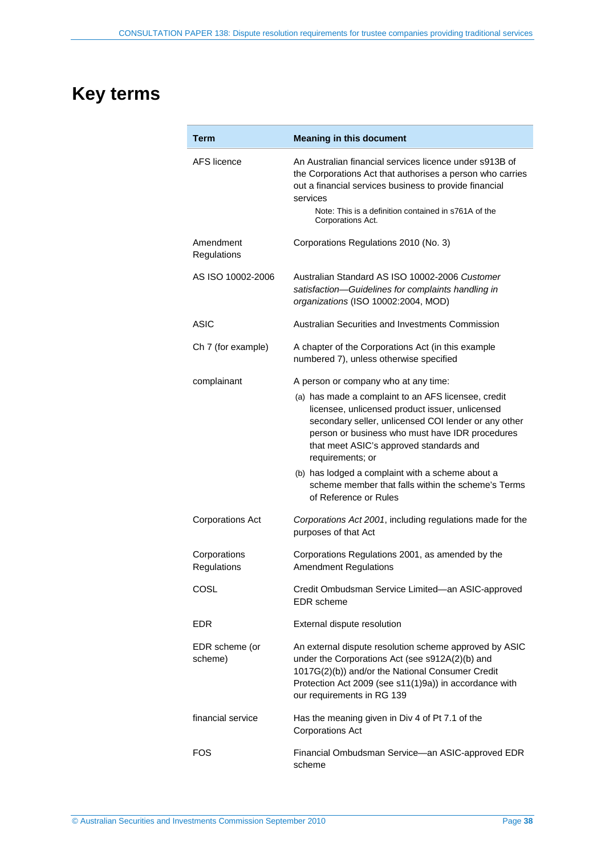# <span id="page-37-0"></span>**Key terms**

| Term                        | <b>Meaning in this document</b>                                                                                                                                                                                                                                                  |  |  |  |
|-----------------------------|----------------------------------------------------------------------------------------------------------------------------------------------------------------------------------------------------------------------------------------------------------------------------------|--|--|--|
| AFS licence                 | An Australian financial services licence under s913B of<br>the Corporations Act that authorises a person who carries<br>out a financial services business to provide financial<br>services<br>Note: This is a definition contained in s761A of the<br>Corporations Act.          |  |  |  |
| Amendment<br>Regulations    | Corporations Regulations 2010 (No. 3)                                                                                                                                                                                                                                            |  |  |  |
| AS ISO 10002-2006           | Australian Standard AS ISO 10002-2006 Customer<br>satisfaction-Guidelines for complaints handling in<br>organizations (ISO 10002:2004, MOD)                                                                                                                                      |  |  |  |
| ASIC                        | Australian Securities and Investments Commission                                                                                                                                                                                                                                 |  |  |  |
| Ch 7 (for example)          | A chapter of the Corporations Act (in this example<br>numbered 7), unless otherwise specified                                                                                                                                                                                    |  |  |  |
| complainant                 | A person or company who at any time:                                                                                                                                                                                                                                             |  |  |  |
|                             | (a) has made a complaint to an AFS licensee, credit<br>licensee, unlicensed product issuer, unlicensed<br>secondary seller, unlicensed COI lender or any other<br>person or business who must have IDR procedures<br>that meet ASIC's approved standards and<br>requirements; or |  |  |  |
|                             | (b) has lodged a complaint with a scheme about a<br>scheme member that falls within the scheme's Terms<br>of Reference or Rules                                                                                                                                                  |  |  |  |
| <b>Corporations Act</b>     | Corporations Act 2001, including regulations made for the<br>purposes of that Act                                                                                                                                                                                                |  |  |  |
| Corporations<br>Regulations | Corporations Regulations 2001, as amended by the<br><b>Amendment Regulations</b>                                                                                                                                                                                                 |  |  |  |
| COSL                        | Credit Ombudsman Service Limited-an ASIC-approved<br><b>EDR</b> scheme                                                                                                                                                                                                           |  |  |  |
| <b>EDR</b>                  | External dispute resolution                                                                                                                                                                                                                                                      |  |  |  |
| EDR scheme (or<br>scheme)   | An external dispute resolution scheme approved by ASIC<br>under the Corporations Act (see s912A(2)(b) and<br>1017G(2)(b)) and/or the National Consumer Credit<br>Protection Act 2009 (see s11(1)9a)) in accordance with<br>our requirements in RG 139                            |  |  |  |
| financial service           | Has the meaning given in Div 4 of Pt 7.1 of the<br><b>Corporations Act</b>                                                                                                                                                                                                       |  |  |  |
| FOS                         | Financial Ombudsman Service-an ASIC-approved EDR<br>scheme                                                                                                                                                                                                                       |  |  |  |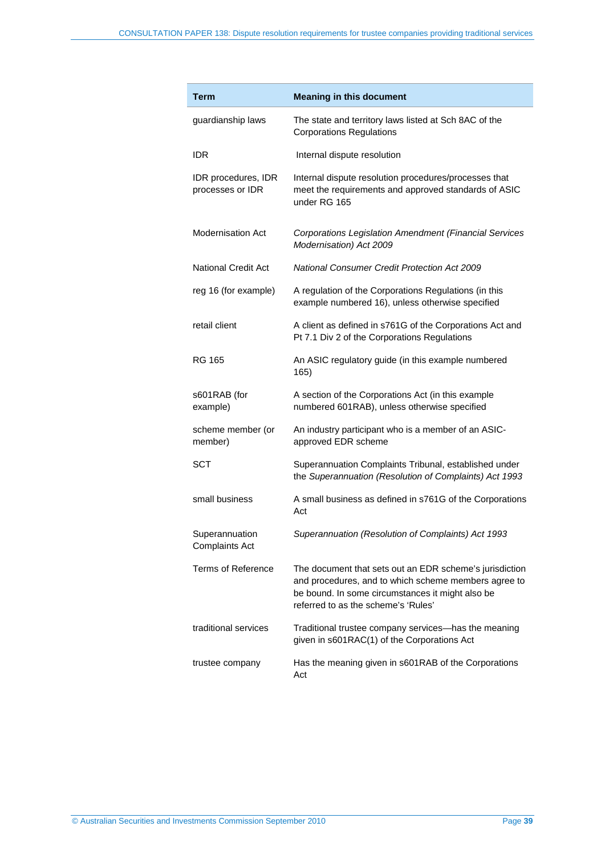| Term                                    | <b>Meaning in this document</b>                                                                                                                                                                            |
|-----------------------------------------|------------------------------------------------------------------------------------------------------------------------------------------------------------------------------------------------------------|
| guardianship laws                       | The state and territory laws listed at Sch 8AC of the<br><b>Corporations Regulations</b>                                                                                                                   |
| IDR                                     | Internal dispute resolution                                                                                                                                                                                |
| IDR procedures, IDR<br>processes or IDR | Internal dispute resolution procedures/processes that<br>meet the requirements and approved standards of ASIC<br>under RG 165                                                                              |
| <b>Modernisation Act</b>                | <b>Corporations Legislation Amendment (Financial Services</b><br>Modernisation) Act 2009                                                                                                                   |
| <b>National Credit Act</b>              | <b>National Consumer Credit Protection Act 2009</b>                                                                                                                                                        |
| reg 16 (for example)                    | A regulation of the Corporations Regulations (in this<br>example numbered 16), unless otherwise specified                                                                                                  |
| retail client                           | A client as defined in s761G of the Corporations Act and<br>Pt 7.1 Div 2 of the Corporations Regulations                                                                                                   |
| RG 165                                  | An ASIC regulatory guide (in this example numbered<br>165)                                                                                                                                                 |
| s601RAB (for<br>example)                | A section of the Corporations Act (in this example<br>numbered 601RAB), unless otherwise specified                                                                                                         |
| scheme member (or<br>member)            | An industry participant who is a member of an ASIC-<br>approved EDR scheme                                                                                                                                 |
| <b>SCT</b>                              | Superannuation Complaints Tribunal, established under<br>the Superannuation (Resolution of Complaints) Act 1993                                                                                            |
| small business                          | A small business as defined in s761G of the Corporations<br>Act                                                                                                                                            |
| Superannuation<br><b>Complaints Act</b> | Superannuation (Resolution of Complaints) Act 1993                                                                                                                                                         |
| <b>Terms of Reference</b>               | The document that sets out an EDR scheme's jurisdiction<br>and procedures, and to which scheme members agree to<br>be bound. In some circumstances it might also be<br>referred to as the scheme's 'Rules' |
| traditional services                    | Traditional trustee company services—has the meaning<br>given in s601RAC(1) of the Corporations Act                                                                                                        |
| trustee company                         | Has the meaning given in s601RAB of the Corporations<br>Act                                                                                                                                                |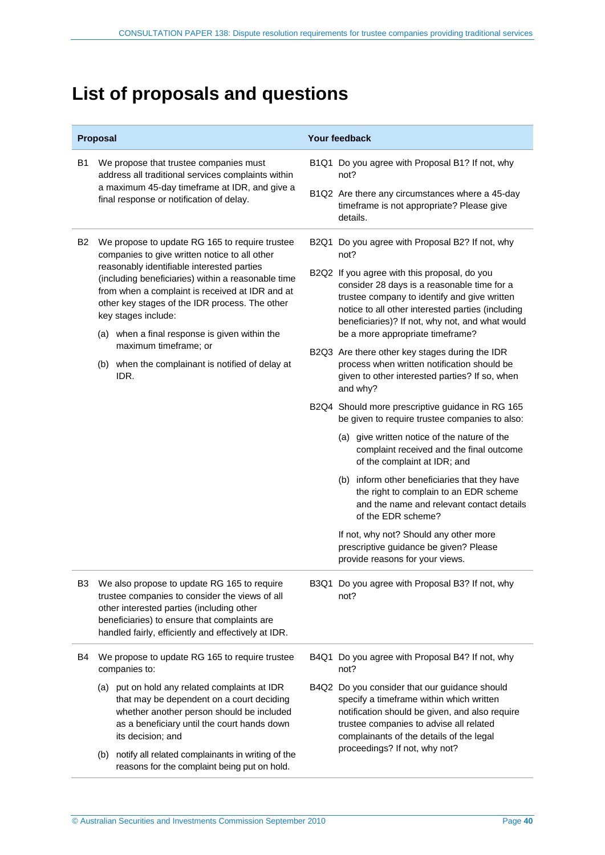# <span id="page-39-0"></span>**List of proposals and questions**

|                | Proposal                                                                                                                                                                                                                                          | <b>Your feedback</b>                                                                                                                                                                                                                                |  |  |
|----------------|---------------------------------------------------------------------------------------------------------------------------------------------------------------------------------------------------------------------------------------------------|-----------------------------------------------------------------------------------------------------------------------------------------------------------------------------------------------------------------------------------------------------|--|--|
| <b>B1</b>      | We propose that trustee companies must<br>address all traditional services complaints within                                                                                                                                                      | B1Q1 Do you agree with Proposal B1? If not, why<br>not?                                                                                                                                                                                             |  |  |
|                | a maximum 45-day timeframe at IDR, and give a<br>final response or notification of delay.                                                                                                                                                         | B1Q2 Are there any circumstances where a 45-day<br>timeframe is not appropriate? Please give<br>details.                                                                                                                                            |  |  |
| <b>B2</b>      | We propose to update RG 165 to require trustee<br>companies to give written notice to all other                                                                                                                                                   | B2Q1 Do you agree with Proposal B2? If not, why<br>not?                                                                                                                                                                                             |  |  |
|                | reasonably identifiable interested parties<br>(including beneficiaries) within a reasonable time<br>from when a complaint is received at IDR and at<br>other key stages of the IDR process. The other<br>key stages include:                      | B2Q2 If you agree with this proposal, do you<br>consider 28 days is a reasonable time for a<br>trustee company to identify and give written<br>notice to all other interested parties (including<br>beneficiaries)? If not, why not, and what would |  |  |
|                | (a) when a final response is given within the<br>maximum timeframe; or                                                                                                                                                                            | be a more appropriate timeframe?                                                                                                                                                                                                                    |  |  |
|                | (b) when the complainant is notified of delay at<br>IDR.                                                                                                                                                                                          | B2Q3 Are there other key stages during the IDR<br>process when written notification should be<br>given to other interested parties? If so, when<br>and why?                                                                                         |  |  |
|                |                                                                                                                                                                                                                                                   | B2Q4 Should more prescriptive guidance in RG 165<br>be given to require trustee companies to also:                                                                                                                                                  |  |  |
|                |                                                                                                                                                                                                                                                   | (a) give written notice of the nature of the<br>complaint received and the final outcome<br>of the complaint at IDR; and                                                                                                                            |  |  |
|                |                                                                                                                                                                                                                                                   | (b) inform other beneficiaries that they have<br>the right to complain to an EDR scheme<br>and the name and relevant contact details<br>of the EDR scheme?                                                                                          |  |  |
|                |                                                                                                                                                                                                                                                   | If not, why not? Should any other more<br>prescriptive guidance be given? Please<br>provide reasons for your views.                                                                                                                                 |  |  |
| B <sub>3</sub> | We also propose to update RG 165 to require<br>trustee companies to consider the views of all<br>other interested parties (including other<br>beneficiaries) to ensure that complaints are<br>handled fairly, efficiently and effectively at IDR. | B3Q1 Do you agree with Proposal B3? If not, why<br>not?                                                                                                                                                                                             |  |  |
| B4             | We propose to update RG 165 to require trustee<br>companies to:                                                                                                                                                                                   | B4Q1 Do you agree with Proposal B4? If not, why<br>not?                                                                                                                                                                                             |  |  |
|                | (a) put on hold any related complaints at IDR<br>that may be dependent on a court deciding<br>whether another person should be included<br>as a beneficiary until the court hands down<br>its decision; and                                       | B4Q2 Do you consider that our guidance should<br>specify a timeframe within which written<br>notification should be given, and also require<br>trustee companies to advise all related<br>complainants of the details of the legal                  |  |  |
|                | notify all related complainants in writing of the<br>(b)<br>reasons for the complaint being put on hold.                                                                                                                                          | proceedings? If not, why not?                                                                                                                                                                                                                       |  |  |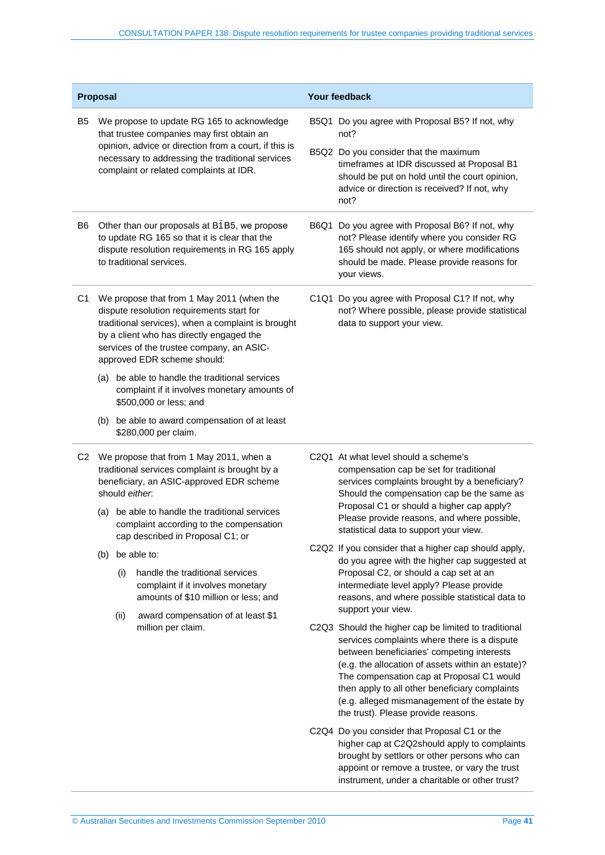| Proposal                                                                                                                                                                  |                                                                                                                                                                              |      |                                                                                                                                                                                                                                                                      | <b>Your feedback</b>                                    |                                                                                                                                                                                                                                                                                                                                       |  |
|---------------------------------------------------------------------------------------------------------------------------------------------------------------------------|------------------------------------------------------------------------------------------------------------------------------------------------------------------------------|------|----------------------------------------------------------------------------------------------------------------------------------------------------------------------------------------------------------------------------------------------------------------------|---------------------------------------------------------|---------------------------------------------------------------------------------------------------------------------------------------------------------------------------------------------------------------------------------------------------------------------------------------------------------------------------------------|--|
| B5                                                                                                                                                                        | We propose to update RG 165 to acknowledge<br>that trustee companies may first obtain an                                                                                     |      |                                                                                                                                                                                                                                                                      | B5Q1 Do you agree with Proposal B5? If not, why<br>not? |                                                                                                                                                                                                                                                                                                                                       |  |
|                                                                                                                                                                           |                                                                                                                                                                              |      | opinion, advice or direction from a court, if this is<br>necessary to addressing the traditional services<br>complaint or related complaints at IDR.                                                                                                                 |                                                         | B5Q2 Do you consider that the maximum<br>timeframes at IDR discussed at Proposal B1<br>should be put on hold until the court opinion,<br>advice or direction is received? If not, why<br>not?                                                                                                                                         |  |
| B6                                                                                                                                                                        | Other than our proposals at B1B5, we propose<br>to update RG 165 so that it is clear that the<br>dispute resolution requirements in RG 165 apply<br>to traditional services. |      |                                                                                                                                                                                                                                                                      |                                                         | B6Q1 Do you agree with Proposal B6? If not, why<br>not? Please identify where you consider RG<br>165 should not apply, or where modifications<br>should be made. Please provide reasons for<br>your views.                                                                                                                            |  |
| C1                                                                                                                                                                        |                                                                                                                                                                              |      | We propose that from 1 May 2011 (when the<br>dispute resolution requirements start for<br>traditional services), when a complaint is brought<br>by a client who has directly engaged the<br>services of the trustee company, an ASIC-<br>approved EDR scheme should: |                                                         | C1Q1 Do you agree with Proposal C1? If not, why<br>not? Where possible, please provide statistical<br>data to support your view.                                                                                                                                                                                                      |  |
|                                                                                                                                                                           | (a)                                                                                                                                                                          |      | be able to handle the traditional services<br>complaint if it involves monetary amounts of<br>\$500,000 or less; and                                                                                                                                                 |                                                         |                                                                                                                                                                                                                                                                                                                                       |  |
|                                                                                                                                                                           |                                                                                                                                                                              |      | (b) be able to award compensation of at least<br>\$280,000 per claim.                                                                                                                                                                                                |                                                         |                                                                                                                                                                                                                                                                                                                                       |  |
| We propose that from 1 May 2011, when a<br>C <sub>2</sub><br>traditional services complaint is brought by a<br>beneficiary, an ASIC-approved EDR scheme<br>should either. |                                                                                                                                                                              |      | C <sub>2</sub> Q <sub>1</sub> At what level should a scheme's<br>compensation cap be set for traditional<br>services complaints brought by a beneficiary?<br>Should the compensation cap be the same as                                                              |                                                         |                                                                                                                                                                                                                                                                                                                                       |  |
|                                                                                                                                                                           | (a)                                                                                                                                                                          |      | be able to handle the traditional services<br>complaint according to the compensation<br>cap described in Proposal C1; or                                                                                                                                            |                                                         | Proposal C1 or should a higher cap apply?<br>Please provide reasons, and where possible,<br>statistical data to support your view.                                                                                                                                                                                                    |  |
|                                                                                                                                                                           | (b)                                                                                                                                                                          |      | be able to:                                                                                                                                                                                                                                                          |                                                         | C2Q2 If you consider that a higher cap should apply,                                                                                                                                                                                                                                                                                  |  |
|                                                                                                                                                                           |                                                                                                                                                                              | (i)  | handle the traditional services<br>complaint if it involves monetary<br>amounts of \$10 million or less; and                                                                                                                                                         |                                                         | do you agree with the higher cap suggested at<br>Proposal C2, or should a cap set at an<br>intermediate level apply? Please provide<br>reasons, and where possible statistical data to                                                                                                                                                |  |
|                                                                                                                                                                           |                                                                                                                                                                              | (ii) | award compensation of at least \$1<br>million per claim.                                                                                                                                                                                                             |                                                         | support your view.<br>C2Q3 Should the higher cap be limited to traditional                                                                                                                                                                                                                                                            |  |
|                                                                                                                                                                           |                                                                                                                                                                              |      |                                                                                                                                                                                                                                                                      |                                                         | services complaints where there is a dispute<br>between beneficiaries' competing interests<br>(e.g. the allocation of assets within an estate)?<br>The compensation cap at Proposal C1 would<br>then apply to all other beneficiary complaints<br>(e.g. alleged mismanagement of the estate by<br>the trust). Please provide reasons. |  |
|                                                                                                                                                                           |                                                                                                                                                                              |      |                                                                                                                                                                                                                                                                      |                                                         | C2Q4 Do you consider that Proposal C1 or the<br>higher cap at C2Q2should apply to complaints<br>brought by settlors or other persons who can<br>appoint or remove a trustee, or vary the trust<br>instrument, under a charitable or other trust?                                                                                      |  |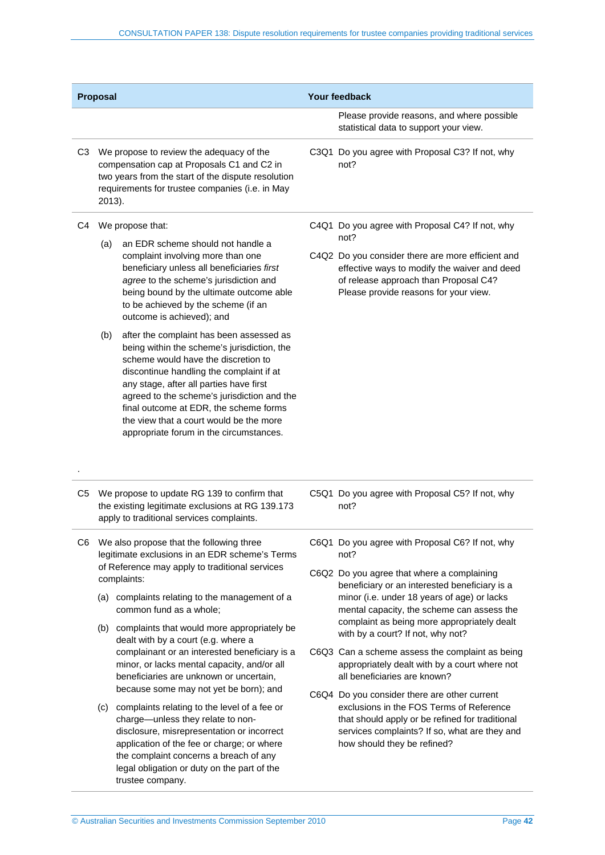| Proposal       |                                                                                                                                                                                                           |                                                                                                                                                                                                                                                                                                                                                                                                                                                                                                                                                                                                                                                                                                                                                                                                       | Your feedback |                                                                                                                                                                                                                                                                                                                                                                                                                                                                                                                                                                                                                                                                                                            |  |
|----------------|-----------------------------------------------------------------------------------------------------------------------------------------------------------------------------------------------------------|-------------------------------------------------------------------------------------------------------------------------------------------------------------------------------------------------------------------------------------------------------------------------------------------------------------------------------------------------------------------------------------------------------------------------------------------------------------------------------------------------------------------------------------------------------------------------------------------------------------------------------------------------------------------------------------------------------------------------------------------------------------------------------------------------------|---------------|------------------------------------------------------------------------------------------------------------------------------------------------------------------------------------------------------------------------------------------------------------------------------------------------------------------------------------------------------------------------------------------------------------------------------------------------------------------------------------------------------------------------------------------------------------------------------------------------------------------------------------------------------------------------------------------------------------|--|
|                |                                                                                                                                                                                                           |                                                                                                                                                                                                                                                                                                                                                                                                                                                                                                                                                                                                                                                                                                                                                                                                       |               | Please provide reasons, and where possible<br>statistical data to support your view.                                                                                                                                                                                                                                                                                                                                                                                                                                                                                                                                                                                                                       |  |
| C <sub>3</sub> | We propose to review the adequacy of the<br>compensation cap at Proposals C1 and C2 in<br>two years from the start of the dispute resolution<br>requirements for trustee companies (i.e. in May<br>2013). |                                                                                                                                                                                                                                                                                                                                                                                                                                                                                                                                                                                                                                                                                                                                                                                                       |               | C3Q1 Do you agree with Proposal C3? If not, why<br>not?                                                                                                                                                                                                                                                                                                                                                                                                                                                                                                                                                                                                                                                    |  |
| C4             | (a)<br>(b)                                                                                                                                                                                                | We propose that:<br>an EDR scheme should not handle a<br>complaint involving more than one<br>beneficiary unless all beneficiaries first<br>agree to the scheme's jurisdiction and<br>being bound by the ultimate outcome able<br>to be achieved by the scheme (if an<br>outcome is achieved); and<br>after the complaint has been assessed as<br>being within the scheme's jurisdiction, the<br>scheme would have the discretion to<br>discontinue handling the complaint if at<br>any stage, after all parties have first<br>agreed to the scheme's jurisdiction and the<br>final outcome at EDR, the scheme forms<br>the view that a court would be the more<br>appropriate forum in the circumstances.                                                                                            |               | C4Q1 Do you agree with Proposal C4? If not, why<br>not?<br>C4Q2 Do you consider there are more efficient and<br>effective ways to modify the waiver and deed<br>of release approach than Proposal C4?<br>Please provide reasons for your view.                                                                                                                                                                                                                                                                                                                                                                                                                                                             |  |
| C5             |                                                                                                                                                                                                           | We propose to update RG 139 to confirm that<br>the existing legitimate exclusions at RG 139.173<br>apply to traditional services complaints.                                                                                                                                                                                                                                                                                                                                                                                                                                                                                                                                                                                                                                                          |               | C5Q1 Do you agree with Proposal C5? If not, why<br>not?                                                                                                                                                                                                                                                                                                                                                                                                                                                                                                                                                                                                                                                    |  |
| C6             |                                                                                                                                                                                                           | We also propose that the following three<br>legitimate exclusions in an EDR scheme's Terms<br>of Reference may apply to traditional services<br>complaints:<br>(a) complaints relating to the management of a<br>common fund as a whole;<br>(b) complaints that would more appropriately be<br>dealt with by a court (e.g. where a<br>complainant or an interested beneficiary is a<br>minor, or lacks mental capacity, and/or all<br>beneficiaries are unknown or uncertain,<br>because some may not yet be born); and<br>(c) complaints relating to the level of a fee or<br>charge-unless they relate to non-<br>disclosure, misrepresentation or incorrect<br>application of the fee or charge; or where<br>the complaint concerns a breach of any<br>legal obligation or duty on the part of the |               | C6Q1 Do you agree with Proposal C6? If not, why<br>not?<br>C6Q2 Do you agree that where a complaining<br>beneficiary or an interested beneficiary is a<br>minor (i.e. under 18 years of age) or lacks<br>mental capacity, the scheme can assess the<br>complaint as being more appropriately dealt<br>with by a court? If not, why not?<br>C6Q3 Can a scheme assess the complaint as being<br>appropriately dealt with by a court where not<br>all beneficiaries are known?<br>C6Q4 Do you consider there are other current<br>exclusions in the FOS Terms of Reference<br>that should apply or be refined for traditional<br>services complaints? If so, what are they and<br>how should they be refined? |  |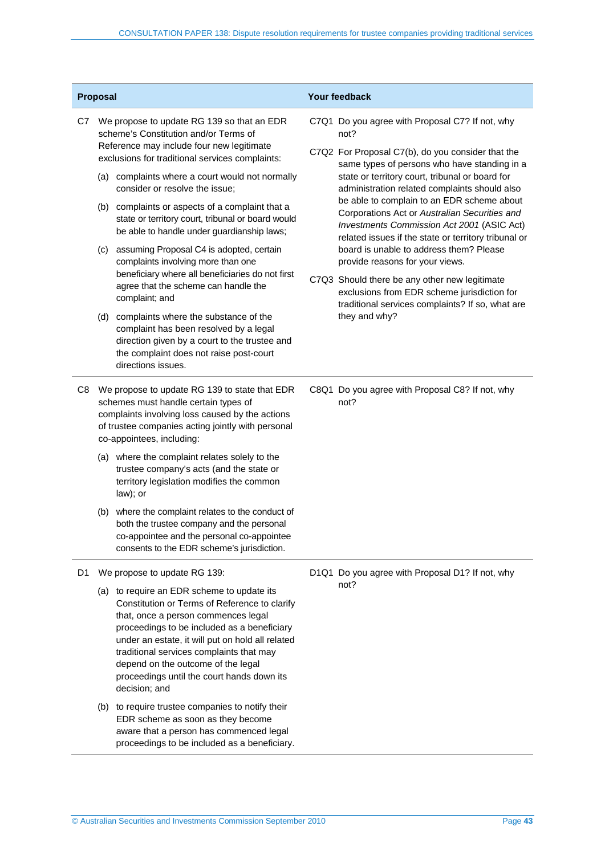|    | Proposal                                                                                                                                                                                                                   |                                                                                                                                                                                                                                                                                                                                                                                        | Your feedback                                                                                    |                                                                                                                                                                                                   |  |
|----|----------------------------------------------------------------------------------------------------------------------------------------------------------------------------------------------------------------------------|----------------------------------------------------------------------------------------------------------------------------------------------------------------------------------------------------------------------------------------------------------------------------------------------------------------------------------------------------------------------------------------|--------------------------------------------------------------------------------------------------|---------------------------------------------------------------------------------------------------------------------------------------------------------------------------------------------------|--|
| C7 | We propose to update RG 139 so that an EDR<br>scheme's Constitution and/or Terms of<br>Reference may include four new legitimate<br>exclusions for traditional services complaints:                                        |                                                                                                                                                                                                                                                                                                                                                                                        |                                                                                                  | C7Q1 Do you agree with Proposal C7? If not, why<br>not?<br>C7Q2 For Proposal C7(b), do you consider that the<br>same types of persons who have standing in a                                      |  |
|    | (a) complaints where a court would not normally<br>consider or resolve the issue;                                                                                                                                          |                                                                                                                                                                                                                                                                                                                                                                                        | state or territory court, tribunal or board for<br>administration related complaints should also |                                                                                                                                                                                                   |  |
|    |                                                                                                                                                                                                                            | (b) complaints or aspects of a complaint that a<br>state or territory court, tribunal or board would<br>be able to handle under guardianship laws;                                                                                                                                                                                                                                     |                                                                                                  | be able to complain to an EDR scheme about<br>Corporations Act or Australian Securities and<br>Investments Commission Act 2001 (ASIC Act)<br>related issues if the state or territory tribunal or |  |
|    | (c)                                                                                                                                                                                                                        | assuming Proposal C4 is adopted, certain<br>complaints involving more than one                                                                                                                                                                                                                                                                                                         |                                                                                                  | board is unable to address them? Please<br>provide reasons for your views.                                                                                                                        |  |
|    |                                                                                                                                                                                                                            | beneficiary where all beneficiaries do not first<br>agree that the scheme can handle the<br>complaint; and                                                                                                                                                                                                                                                                             |                                                                                                  | C7Q3 Should there be any other new legitimate<br>exclusions from EDR scheme jurisdiction for<br>traditional services complaints? If so, what are                                                  |  |
|    |                                                                                                                                                                                                                            | (d) complaints where the substance of the<br>complaint has been resolved by a legal<br>direction given by a court to the trustee and<br>the complaint does not raise post-court<br>directions issues.                                                                                                                                                                                  |                                                                                                  | they and why?                                                                                                                                                                                     |  |
| C8 | We propose to update RG 139 to state that EDR<br>schemes must handle certain types of<br>complaints involving loss caused by the actions<br>of trustee companies acting jointly with personal<br>co-appointees, including: |                                                                                                                                                                                                                                                                                                                                                                                        |                                                                                                  | C8Q1 Do you agree with Proposal C8? If not, why<br>not?                                                                                                                                           |  |
|    |                                                                                                                                                                                                                            | (a) where the complaint relates solely to the<br>trustee company's acts (and the state or<br>territory legislation modifies the common<br>law); or                                                                                                                                                                                                                                     |                                                                                                  |                                                                                                                                                                                                   |  |
|    |                                                                                                                                                                                                                            | (b) where the complaint relates to the conduct of<br>both the trustee company and the personal<br>co-appointee and the personal co-appointee<br>consents to the EDR scheme's jurisdiction.                                                                                                                                                                                             |                                                                                                  |                                                                                                                                                                                                   |  |
| D1 | We propose to update RG 139:                                                                                                                                                                                               |                                                                                                                                                                                                                                                                                                                                                                                        |                                                                                                  | D1Q1 Do you agree with Proposal D1? If not, why                                                                                                                                                   |  |
|    |                                                                                                                                                                                                                            | (a) to require an EDR scheme to update its<br>Constitution or Terms of Reference to clarify<br>that, once a person commences legal<br>proceedings to be included as a beneficiary<br>under an estate, it will put on hold all related<br>traditional services complaints that may<br>depend on the outcome of the legal<br>proceedings until the court hands down its<br>decision; and |                                                                                                  | not?                                                                                                                                                                                              |  |
|    |                                                                                                                                                                                                                            | (b) to require trustee companies to notify their<br>EDR scheme as soon as they become<br>aware that a person has commenced legal                                                                                                                                                                                                                                                       |                                                                                                  |                                                                                                                                                                                                   |  |

proceedings to be included as a beneficiary.